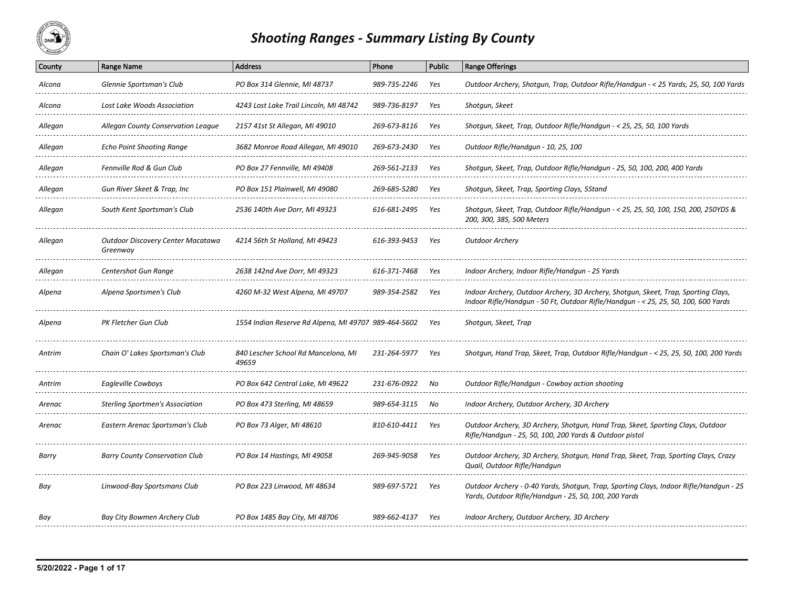

## *Shooting Ranges ‐ Summary Listing By County*

| County  | <b>Range Name</b>                             | <b>Address</b>                                       | Phone                             | <b>Public</b> | <b>Range Offerings</b>                                                                                                                                                   |
|---------|-----------------------------------------------|------------------------------------------------------|-----------------------------------|---------------|--------------------------------------------------------------------------------------------------------------------------------------------------------------------------|
| Alcona  | Glennie Sportsman's Club                      | PO Box 314 Glennie, MI 48737                         | 989-735-2246                      | Yes           | Outdoor Archery, Shotqun, Trap, Outdoor Rifle/Handqun - < 25 Yards, 25, 50, 100 Yards                                                                                    |
| Alcona  | Lost Lake Woods Association                   | 4243 Lost Lake Trail Lincoln, MI 48742               | 989-736-8197                      | Yes           | Shotgun, Skeet                                                                                                                                                           |
| Allegan | Allegan County Conservation League            | 2157 41st St Allegan, MI 49010                       | 269-673-8116                      | Yes           | Shotgun, Skeet, Trap, Outdoor Rifle/Handgun - < 25, 25, 50, 100 Yards                                                                                                    |
| Allegan | <b>Echo Point Shooting Range</b>              | 3682 Monroe Road Allegan, MI 49010                   | 269-673-2430                      | Yes           | Outdoor Rifle/Handgun - 10, 25, 100                                                                                                                                      |
| Allegan | Fennville Rod & Gun Club                      | PO Box 27 Fennville, MI 49408                        | 269-561-2133                      | Yes           | Shotgun, Skeet, Trap, Outdoor Rifle/Handgun - 25, 50, 100, 200, 400 Yards                                                                                                |
| Allegan | Gun River Skeet & Trap, Inc                   | PO Box 151 Plainwell, MI 49080                       | 269-685-5280                      | Yes           | Shotgun, Skeet, Trap, Sporting Clays, 5Stand                                                                                                                             |
| Allegan | South Kent Sportsman's Club                   | 2536 140th Ave Dorr, MI 49323                        | 616-681-2495                      | Yes           | Shotgun, Skeet, Trap, Outdoor Rifle/Handgun - < 25, 25, 50, 100, 150, 200, 250YDS &<br>200, 300, 385, 500 Meters                                                         |
| Allegan | Outdoor Discovery Center Macatawa<br>Greenway | 4214 56th St Holland, MI 49423                       | 616-393-9453                      | Yes           | <b>Outdoor Archery</b>                                                                                                                                                   |
| Allegan | Centershot Gun Range                          | 2638 142nd Ave Dorr, MI 49323                        | 616-371-7468                      | Yes           | Indoor Archery, Indoor Rifle/Handqun - 25 Yards                                                                                                                          |
| Alpena  | Alpena Sportsmen's Club                       | 4260 M-32 West Alpena, MI 49707                      | 989-354-2582                      | Yes           | Indoor Archery, Outdoor Archery, 3D Archery, Shotgun, Skeet, Trap, Sporting Clays,<br>Indoor Rifle/Handqun - 50 Ft, Outdoor Rifle/Handqun - < 25, 25, 50, 100, 600 Yards |
| Alpena  | PK Fletcher Gun Club                          | 1554 Indian Reserve Rd Alpena, MI 49707 989-464-5602 |                                   | Yes           | Shotgun, Skeet, Trap                                                                                                                                                     |
| Antrim  | Chain O' Lakes Sportsman's Club               | 840 Lescher School Rd Mancelona, MI<br>49659         | 231-264-5977                      | Yes           | Shotgun, Hand Trap, Skeet, Trap, Outdoor Rifle/Handgun - < 25, 25, 50, 100, 200 Yards                                                                                    |
| Antrim  | Eagleville Cowboys                            | PO Box 642 Central Lake, MI 49622                    | 231-676-0922<br>----------------- | No            | Outdoor Rifle/Handgun - Cowboy action shooting                                                                                                                           |
| Arenac  | Sterling Sportmen's Association               | PO Box 473 Sterling, MI 48659                        | 989-654-3115                      | No            | Indoor Archery, Outdoor Archery, 3D Archery                                                                                                                              |
| Arenac  | Eastern Arenac Sportsman's Club               | PO Box 73 Alger, MI 48610                            | 810-610-4411                      | Yes           | Outdoor Archery, 3D Archery, Shotgun, Hand Trap, Skeet, Sporting Clays, Outdoor<br>Rifle/Handgun - 25, 50, 100, 200 Yards & Outdoor pistol                               |
| Barry   | Barry County Conservation Club                | PO Box 14 Hastings, MI 49058                         | 269-945-9058                      | Yes           | Outdoor Archery, 3D Archery, Shotgun, Hand Trap, Skeet, Trap, Sporting Clays, Crazy<br>Quail, Outdoor Rifle/Handqun                                                      |
| Bay     | Linwood-Bay Sportsmans Club                   | PO Box 223 Linwood, MI 48634                         | 989-697-5721                      | Yes           | Outdoor Archery - 0-40 Yards, Shotgun, Trap, Sporting Clays, Indoor Rifle/Handgun - 25<br>Yards, Outdoor Rifle/Handgun - 25, 50, 100, 200 Yards                          |
| Bay     | Bay City Bowmen Archery Club                  | PO Box 1485 Bay City, MI 48706                       | 989-662-4137                      | Yes           | Indoor Archery, Outdoor Archery, 3D Archery                                                                                                                              |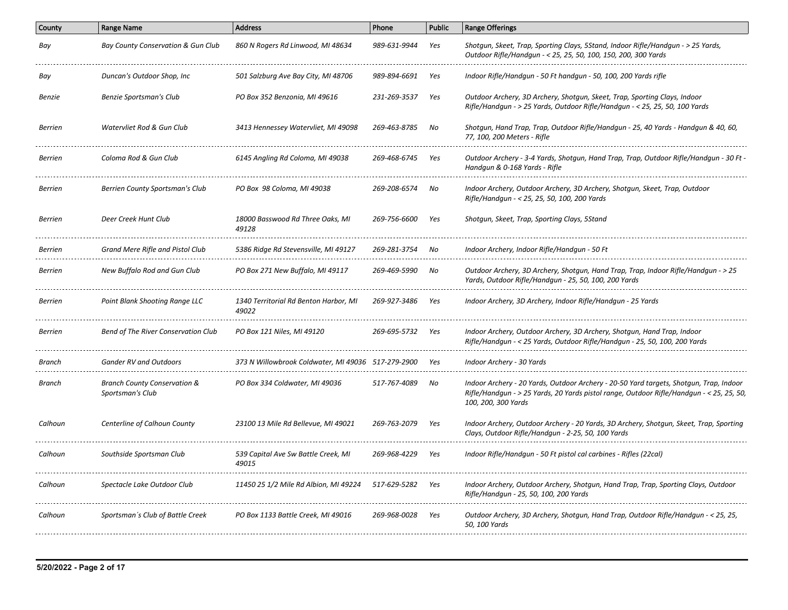| County         | <b>Range Name</b>                                           | <b>Address</b>                                       | Phone        | <b>Public</b> | <b>Range Offerings</b>                                                                                                                                                                                    |
|----------------|-------------------------------------------------------------|------------------------------------------------------|--------------|---------------|-----------------------------------------------------------------------------------------------------------------------------------------------------------------------------------------------------------|
| Bay            | Bay County Conservation & Gun Club                          | 860 N Rogers Rd Linwood, MI 48634                    | 989-631-9944 | Yes           | Shotgun, Skeet, Trap, Sporting Clays, 5Stand, Indoor Rifle/Handgun - > 25 Yards,<br>Outdoor Rifle/Handgun - < 25, 25, 50, 100, 150, 200, 300 Yards                                                        |
| Bay            | Duncan's Outdoor Shop, Inc                                  | 501 Salzburg Ave Bay City, MI 48706                  | 989-894-6691 | Yes           | Indoor Rifle/Handgun - 50 Ft handgun - 50, 100, 200 Yards rifle                                                                                                                                           |
| Benzie         | Benzie Sportsman's Club                                     | PO Box 352 Benzonia, MI 49616                        | 231-269-3537 | Yes           | Outdoor Archery, 3D Archery, Shotgun, Skeet, Trap, Sporting Clays, Indoor<br>Rifle/Handgun - > 25 Yards, Outdoor Rifle/Handgun - < 25, 25, 50, 100 Yards                                                  |
| <b>Berrien</b> | Watervliet Rod & Gun Club                                   | 3413 Hennessey Watervliet, MI 49098                  | 269-463-8785 | No            | Shotgun, Hand Trap, Trap, Outdoor Rifle/Handgun - 25, 40 Yards - Handgun & 40, 60,<br>77, 100, 200 Meters - Rifle                                                                                         |
| <b>Berrien</b> | Coloma Rod & Gun Club                                       | 6145 Angling Rd Coloma, MI 49038                     | 269-468-6745 | Yes           | Outdoor Archery - 3-4 Yards, Shotgun, Hand Trap, Trap, Outdoor Rifle/Handgun - 30 Ft<br>Handqun & 0-168 Yards - Rifle                                                                                     |
| <b>Berrien</b> | Berrien County Sportsman's Club                             | PO Box 98 Coloma, MI 49038                           | 269-208-6574 | No            | Indoor Archery, Outdoor Archery, 3D Archery, Shotgun, Skeet, Trap, Outdoor<br>Rifle/Handgun - < 25, 25, 50, 100, 200 Yards                                                                                |
| <b>Berrien</b> | Deer Creek Hunt Club                                        | 18000 Basswood Rd Three Oaks, MI<br>49128            | 269-756-6600 | Yes           | Shotgun, Skeet, Trap, Sporting Clays, 5Stand                                                                                                                                                              |
| <b>Berrien</b> | Grand Mere Rifle and Pistol Club                            | 5386 Ridge Rd Stevensville, MI 49127                 | 269-281-3754 | No            | Indoor Archery, Indoor Rifle/Handqun - 50 Ft                                                                                                                                                              |
| <b>Berrien</b> | New Buffalo Rod and Gun Club                                | PO Box 271 New Buffalo, MI 49117                     | 269-469-5990 | No            | Outdoor Archery, 3D Archery, Shotgun, Hand Trap, Trap, Indoor Rifle/Handgun - > 25<br>Yards, Outdoor Rifle/Handgun - 25, 50, 100, 200 Yards                                                               |
| <b>Berrien</b> | Point Blank Shooting Range LLC                              | 1340 Territorial Rd Benton Harbor, MI<br>49022       | 269-927-3486 | Yes           | Indoor Archery, 3D Archery, Indoor Rifle/Handgun - 25 Yards                                                                                                                                               |
| <b>Berrien</b> | <b>Bend of The River Conservation Club</b>                  | PO Box 121 Niles, MI 49120                           | 269-695-5732 | Yes           | Indoor Archery, Outdoor Archery, 3D Archery, Shotgun, Hand Trap, Indoor<br>Rifle/Handqun - < 25 Yards, Outdoor Rifle/Handqun - 25, 50, 100, 200 Yards                                                     |
| Branch         | Gander RV and Outdoors                                      | 373 N Willowbrook Coldwater, MI 49036   517-279-2900 |              | Yes           | Indoor Archery - 30 Yards                                                                                                                                                                                 |
| Branch         | <b>Branch County Conservation &amp;</b><br>Sportsman's Club | PO Box 334 Coldwater, MI 49036                       | 517-767-4089 | No            | Indoor Archery - 20 Yards, Outdoor Archery - 20-50 Yard targets, Shotgun, Trap, Indoor<br>Rifle/Handqun - > 25 Yards, 20 Yards pistol range, Outdoor Rifle/Handqun - < 25, 25, 50,<br>100, 200, 300 Yards |
| Calhoun        | Centerline of Calhoun County                                | 23100 13 Mile Rd Bellevue, MI 49021                  | 269-763-2079 | Yes           | Indoor Archery, Outdoor Archery - 20 Yards, 3D Archery, Shotgun, Skeet, Trap, Sporting<br>Clays, Outdoor Rifle/Handgun - 2-25, 50, 100 Yards                                                              |
| Calhoun        | Southside Sportsman Club                                    | 539 Capital Ave Sw Battle Creek, MI<br>49015         | 269-968-4229 | Yes           | Indoor Rifle/Handgun - 50 Ft pistol cal carbines - Rifles (22cal)                                                                                                                                         |
| Calhoun        | Spectacle Lake Outdoor Club                                 | 11450 25 1/2 Mile Rd Albion, MI 49224                | 517-629-5282 | Yes           | Indoor Archery, Outdoor Archery, Shotgun, Hand Trap, Trap, Sporting Clays, Outdoor<br>Rifle/Handgun - 25, 50, 100, 200 Yards                                                                              |
| Calhoun        | Sportsman's Club of Battle Creek                            | PO Box 1133 Battle Creek, MI 49016                   | 269-968-0028 | Yes           | Outdoor Archery, 3D Archery, Shotqun, Hand Trap, Outdoor Rifle/Handqun - < 25, 25,<br>50, 100 Yards                                                                                                       |
|                |                                                             |                                                      |              |               |                                                                                                                                                                                                           |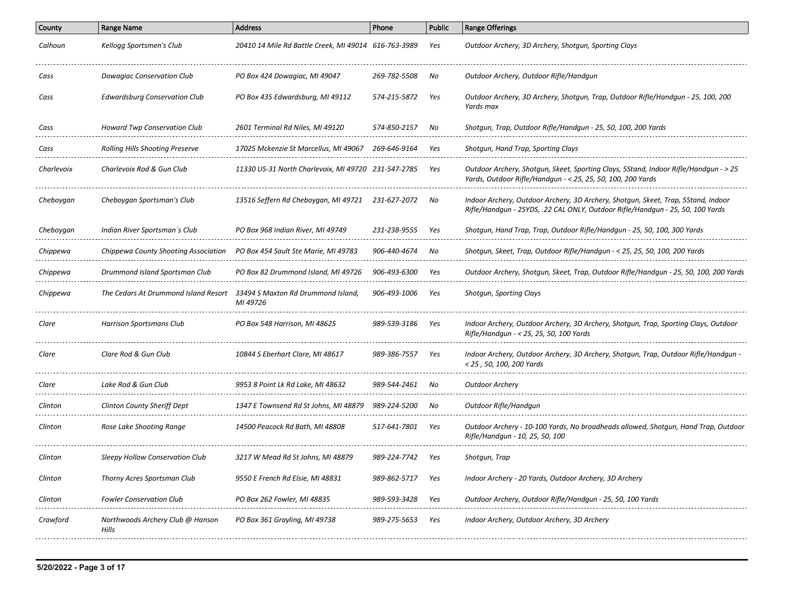| County     | <b>Range Name</b>                         | <b>Address</b>                                       | Phone        | <b>Public</b> | <b>Range Offerings</b>                                                                                                                                              |
|------------|-------------------------------------------|------------------------------------------------------|--------------|---------------|---------------------------------------------------------------------------------------------------------------------------------------------------------------------|
| Calhoun    | Kellogg Sportsmen's Club                  | 20410 14 Mile Rd Battle Creek, MI 49014 616-763-3989 |              | Yes           | Outdoor Archery, 3D Archery, Shotgun, Sporting Clays                                                                                                                |
| Cass       | Dowagiac Conservation Club                | PO Box 424 Dowagiac, MI 49047                        | 269-782-5508 | No            | Outdoor Archery, Outdoor Rifle/Handgun                                                                                                                              |
| Cass       | <b>Edwardsburg Conservation Club</b>      | PO Box 435 Edwardsburg, MI 49112                     | 574-215-5872 | Yes           | Outdoor Archery, 3D Archery, Shotgun, Trap, Outdoor Rifle/Handgun - 25, 100, 200<br>Yards max                                                                       |
| Cass       | <b>Howard Twp Conservation Club</b>       | 2601 Terminal Rd Niles, MI 49120                     | 574-850-2157 | No            | Shotqun, Trap, Outdoor Rifle/Handqun - 25, 50, 100, 200 Yards                                                                                                       |
| Cass       | <b>Rolling Hills Shooting Preserve</b>    | 17025 Mckenzie St Marcellus, MI 49067                | 269-646-9164 | Yes           | Shotgun, Hand Trap, Sporting Clays                                                                                                                                  |
| Charlevoix | Charlevoix Rod & Gun Club                 | 11330 US-31 North Charlevoix, MI 49720 231-547-2785  |              | Yes           | Outdoor Archery, Shotgun, Skeet, Sporting Clays, 5Stand, Indoor Rifle/Handgun - > 25<br>Yards, Outdoor Rifle/Handqun - < 25, 25, 50, 100, 200 Yards                 |
| Cheboygan  | Cheboygan Sportsman's Club                | 13516 Seffern Rd Cheboygan, MI 49721                 | 231-627-2072 | No            | Indoor Archery, Outdoor Archery, 3D Archery, Shotgun, Skeet, Trap, 5Stand, Indoor<br>Rifle/Handqun - 25YDS, .22 CAL ONLY, Outdoor Rifle/Handqun - 25, 50, 100 Yards |
| Cheboygan  | Indian River Sportsman's Club             | PO Box 968 Indian River, MI 49749                    | 231-238-9555 | Yes           | Shotgun, Hand Trap, Trap, Outdoor Rifle/Handgun - 25, 50, 100, 300 Yards                                                                                            |
| Chippewa   | Chippewa County Shooting Association      | PO Box 454 Sault Ste Marie, MI 49783                 | 906-440-4674 | No            | Shotgun, Skeet, Trap, Outdoor Rifle/Handgun - < 25, 25, 50, 100, 200 Yards                                                                                          |
| Chippewa   | Drummond Island Sportsman Club            | PO Box 82 Drummond Island, MI 49726                  | 906-493-6300 | Yes           | Outdoor Archery, Shotgun, Skeet, Trap, Outdoor Rifle/Handgun - 25, 50, 100, 200 Yards                                                                               |
| Chippewa   | The Cedars At Drummond Island Resort      | 33494 S Maxton Rd Drummond Island,<br>MI 49726       | 906-493-1006 | Yes           | Shotgun, Sporting Clays                                                                                                                                             |
| Clare      | <b>Harrison Sportsmans Club</b>           | PO Box 548 Harrison, MI 48625                        | 989-539-3186 | Yes           | Indoor Archery, Outdoor Archery, 3D Archery, Shotgun, Trap, Sporting Clays, Outdoor<br>Rifle/Handqun - < 25, 25, 50, 100 Yards                                      |
| Clare      | Clare Rod & Gun Club                      | 10844 S Eberhart Clare, MI 48617                     | 989-386-7557 | Yes           | Indoor Archery, Outdoor Archery, 3D Archery, Shotgun, Trap, Outdoor Rifle/Handgun -<br>< 25, 50, 100, 200 Yards                                                     |
| Clare      | Lake Rod & Gun Club                       | 9953 8 Point Lk Rd Lake, MI 48632                    | 989-544-2461 | No            | <b>Outdoor Archery</b>                                                                                                                                              |
| Clinton    | <b>Clinton County Sheriff Dept</b>        | 1347 E Townsend Rd St Johns, MI 48879                | 989-224-5200 | No            | Outdoor Rifle/Handgun                                                                                                                                               |
| Clinton    | Rose Lake Shooting Range                  | 14500 Peacock Rd Bath, MI 48808                      | 517-641-7801 | Yes           | Outdoor Archery - 10-100 Yards, No broadheads allowed, Shotqun, Hand Trap, Outdoor<br>Rifle/Handgun - 10, 25, 50, 100                                               |
| Clinton    | Sleepy Hollow Conservation Club           | 3217 W Mead Rd St Johns, MI 48879                    | 989-224-7742 | Yes           | Shotgun, Trap                                                                                                                                                       |
| Clinton    | Thorny Acres Sportsman Club               | 9550 E French Rd Elsie, MI 48831                     | 989-862-5717 | Yes           | Indoor Archery - 20 Yards, Outdoor Archery, 3D Archery                                                                                                              |
| Clinton    | <b>Fowler Conservation Club</b>           | PO Box 262 Fowler, MI 48835                          | 989-593-3428 | Yes           | Outdoor Archery, Outdoor Rifle/Handqun - 25, 50, 100 Yards                                                                                                          |
| Crawford   | Northwoods Archery Club @ Hanson<br>Hills | PO Box 361 Grayling, MI 49738                        | 989-275-5653 | Yes           | Indoor Archery, Outdoor Archery, 3D Archery                                                                                                                         |
|            |                                           |                                                      |              |               |                                                                                                                                                                     |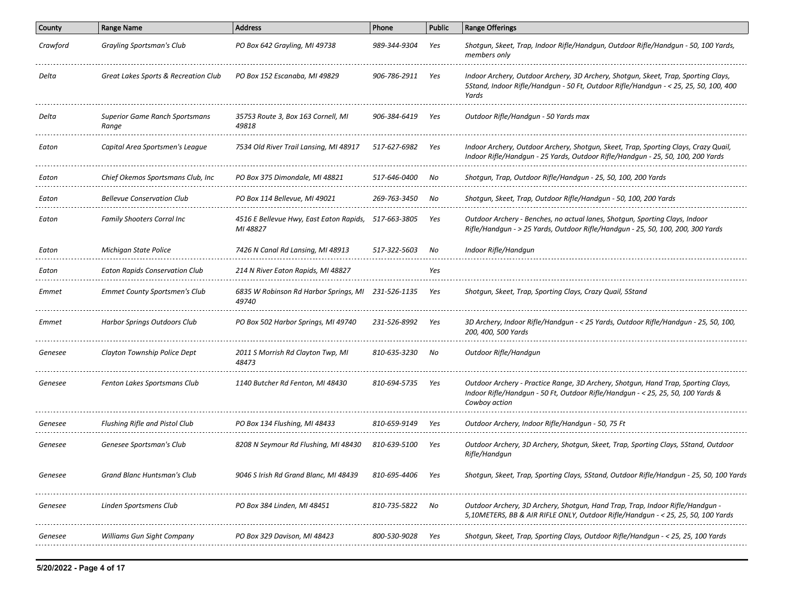| County       | <b>Range Name</b>                              | <b>Address</b>                                           | Phone        | <b>Public</b> | <b>Range Offerings</b>                                                                                                                                                                |
|--------------|------------------------------------------------|----------------------------------------------------------|--------------|---------------|---------------------------------------------------------------------------------------------------------------------------------------------------------------------------------------|
| Crawford     | Grayling Sportsman's Club                      | PO Box 642 Grayling, MI 49738                            | 989-344-9304 | Yes           | Shotgun, Skeet, Trap, Indoor Rifle/Handgun, Outdoor Rifle/Handgun - 50, 100 Yards,<br>members only                                                                                    |
| Delta        | Great Lakes Sports & Recreation Club           | PO Box 152 Escanaba, MI 49829                            | 906-786-2911 | Yes           | Indoor Archery, Outdoor Archery, 3D Archery, Shotgun, Skeet, Trap, Sporting Clays,<br>5Stand, Indoor Rifle/Handgun - 50 Ft, Outdoor Rifle/Handgun - < 25, 25, 50, 100, 400<br>Yards   |
| Delta        | <b>Superior Game Ranch Sportsmans</b><br>Range | 35753 Route 3, Box 163 Cornell, MI<br>49818              | 906-384-6419 | Yes           | Outdoor Rifle/Handgun - 50 Yards max                                                                                                                                                  |
| Eaton        | Capital Area Sportsmen's League                | 7534 Old River Trail Lansing, MI 48917                   | 517-627-6982 | Yes           | Indoor Archery, Outdoor Archery, Shotgun, Skeet, Trap, Sporting Clays, Crazy Quail,<br>Indoor Rifle/Handgun - 25 Yards, Outdoor Rifle/Handgun - 25, 50, 100, 200 Yards                |
| Eaton        | Chief Okemos Sportsmans Club, Inc              | PO Box 375 Dimondale, MI 48821                           | 517-646-0400 | No            | Shotgun, Trap, Outdoor Rifle/Handgun - 25, 50, 100, 200 Yards                                                                                                                         |
| Eaton        | <b>Bellevue Conservation Club</b>              | PO Box 114 Bellevue, MI 49021                            | 269-763-3450 | No            | Shotgun, Skeet, Trap, Outdoor Rifle/Handgun - 50, 100, 200 Yards                                                                                                                      |
| Eaton        | <b>Family Shooters Corral Inc</b>              | 4516 E Bellevue Hwy, East Eaton Rapids,<br>MI 48827      | 517-663-3805 | Yes           | Outdoor Archery - Benches, no actual lanes, Shotqun, Sporting Clays, Indoor<br>Rifle/Handgun - > 25 Yards, Outdoor Rifle/Handgun - 25, 50, 100, 200, 300 Yards                        |
| Eaton        | Michigan State Police                          | 7426 N Canal Rd Lansing, MI 48913                        | 517-322-5603 | No            | Indoor Rifle/Handgun                                                                                                                                                                  |
| Eaton        | <b>Eaton Rapids Conservation Club</b>          | 214 N River Eaton Rapids, MI 48827                       |              | Yes           |                                                                                                                                                                                       |
| Emmet        | Emmet County Sportsmen's Club                  | 6835 W Robinson Rd Harbor Springs, MI<br>49740           | 231-526-1135 | Yes           | Shotgun, Skeet, Trap, Sporting Clays, Crazy Quail, 5Stand                                                                                                                             |
| Emmet        | Harbor Springs Outdoors Club                   | PO Box 502 Harbor Springs, MI 49740                      | 231-526-8992 | Yes           | 3D Archery, Indoor Rifle/Handgun - < 25 Yards, Outdoor Rifle/Handgun - 25, 50, 100,<br>200, 400, 500 Yards                                                                            |
| Genesee      | Clayton Township Police Dept                   | 2011 S Morrish Rd Clayton Twp, MI<br>48473               | 810-635-3230 | No            | Outdoor Rifle/Handgun                                                                                                                                                                 |
| Genesee      | Fenton Lakes Sportsmans Club                   | 1140 Butcher Rd Fenton, MI 48430                         | 810-694-5735 | Yes           | Outdoor Archery - Practice Range, 3D Archery, Shotgun, Hand Trap, Sporting Clays,<br>Indoor Rifle/Handgun - 50 Ft, Outdoor Rifle/Handgun - < 25, 25, 50, 100 Yards &<br>Cowboy action |
| Genesee      | Flushing Rifle and Pistol Club                 | PO Box 134 Flushing, MI 48433                            | 810-659-9149 | Yes           | Outdoor Archery, Indoor Rifle/Handgun - 50, 75 Ft                                                                                                                                     |
| Genesee      | Genesee Sportsman's Club                       | 8208 N Seymour Rd Flushing, MI 48430                     | 810-639-5100 | Yes           | Outdoor Archery, 3D Archery, Shotgun, Skeet, Trap, Sporting Clays, 5Stand, Outdoor<br>Rifle/Handqun                                                                                   |
| Genesee      | Grand Blanc Huntsman's Club                    | 9046 S Irish Rd Grand Blanc, MI 48439                    | 810-695-4406 | Yes           | Shotgun, Skeet, Trap, Sporting Clays, 5Stand, Outdoor Rifle/Handgun - 25, 50, 100 Yards                                                                                               |
| Genesee      | Linden Sportsmens Club                         | PO Box 384 Linden, MI 48451                              | 810-735-5822 | No            | Outdoor Archery, 3D Archery, Shotgun, Hand Trap, Trap, Indoor Rifle/Handgun -<br>5,10METERS, BB & AIR RIFLE ONLY, Outdoor Rifle/Handgun - < 25, 25, 50, 100 Yards                     |
| Genesee<br>. | Williams Gun Sight Company                     | PO Box 329 Davison, MI 48423<br>------------------------ | 800-530-9028 | Yes           | Shotgun, Skeet, Trap, Sporting Clays, Outdoor Rifle/Handgun - < 25, 25, 100 Yards                                                                                                     |
|              |                                                |                                                          |              |               |                                                                                                                                                                                       |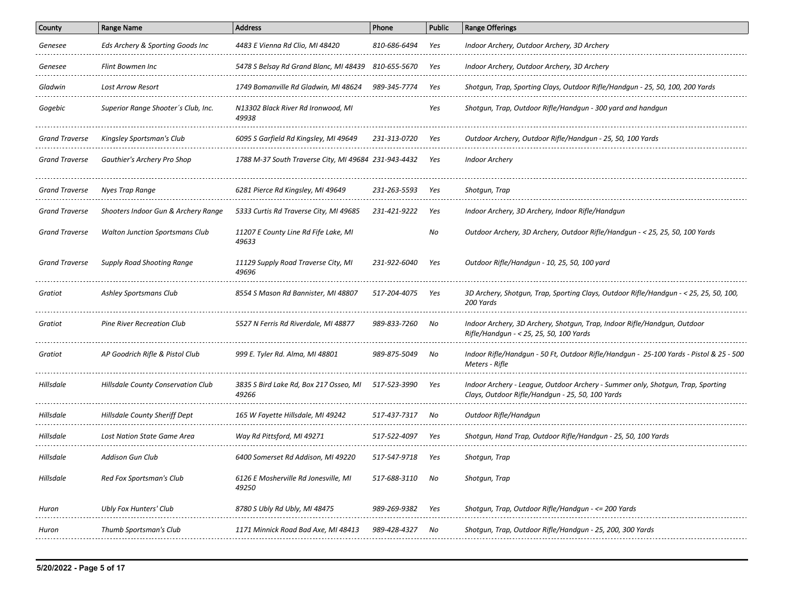| County                | <b>Range Name</b>                      | <b>Address</b>                                       | Phone        | <b>Public</b> | <b>Range Offerings</b>                                                                                                              |
|-----------------------|----------------------------------------|------------------------------------------------------|--------------|---------------|-------------------------------------------------------------------------------------------------------------------------------------|
| Genesee               | Eds Archery & Sporting Goods Inc       | 4483 E Vienna Rd Clio, MI 48420                      | 810-686-6494 | Yes           | Indoor Archery, Outdoor Archery, 3D Archery                                                                                         |
| Genesee               | Flint Bowmen Inc                       | 5478 S Belsay Rd Grand Blanc, MI 48439 810-655-5670  |              | Yes           | Indoor Archery, Outdoor Archery, 3D Archery                                                                                         |
| Gladwin               | <b>Lost Arrow Resort</b><br>.          | 1749 Bomanville Rd Gladwin, MI 48624                 | 989-345-7774 | Yes           | Shotgun, Trap, Sporting Clays, Outdoor Rifle/Handgun - 25, 50, 100, 200 Yards                                                       |
| Gogebic               | Superior Range Shooter's Club, Inc.    | N13302 Black River Rd Ironwood, MI<br>49938          |              | Yes           | Shotgun, Trap, Outdoor Rifle/Handgun - 300 yard and handgun                                                                         |
| Grand Traverse        | Kingsley Sportsman's Club              | 6095 S Garfield Rd Kingsley, MI 49649                | 231-313-0720 | Yes           | Outdoor Archery, Outdoor Rifle/Handgun - 25, 50, 100 Yards                                                                          |
| <b>Grand Traverse</b> | Gauthier's Archery Pro Shop            | 1788 M-37 South Traverse City, MI 49684 231-943-4432 |              | Yes           | <b>Indoor Archery</b>                                                                                                               |
| <b>Grand Traverse</b> | Nyes Trap Range                        | 6281 Pierce Rd Kingsley, MI 49649                    | 231-263-5593 | Yes           | Shotgun, Trap                                                                                                                       |
| <b>Grand Traverse</b> | Shooters Indoor Gun & Archery Range    | 5333 Curtis Rd Traverse City, MI 49685               | 231-421-9222 | Yes           | Indoor Archery, 3D Archery, Indoor Rifle/Handgun                                                                                    |
| <b>Grand Traverse</b> | <b>Walton Junction Sportsmans Club</b> | 11207 E County Line Rd Fife Lake, MI<br>49633        |              | No            | Outdoor Archery, 3D Archery, Outdoor Rifle/Handgun - < 25, 25, 50, 100 Yards                                                        |
| <b>Grand Traverse</b> | <b>Supply Road Shooting Range</b>      | 11129 Supply Road Traverse City, MI<br>49696         | 231-922-6040 | Yes           | Outdoor Rifle/Handgun - 10, 25, 50, 100 yard                                                                                        |
| Gratiot               | Ashley Sportsmans Club                 | 8554 S Mason Rd Bannister, MI 48807                  | 517-204-4075 | Yes           | 3D Archery, Shotqun, Trap, Sporting Clays, Outdoor Rifle/Handqun - < 25, 25, 50, 100,<br>200 Yards                                  |
| Gratiot               | <b>Pine River Recreation Club</b>      | 5527 N Ferris Rd Riverdale, MI 48877                 | 989-833-7260 | No            | Indoor Archery, 3D Archery, Shotgun, Trap, Indoor Rifle/Handgun, Outdoor<br>Rifle/Handgun - < 25, 25, 50, 100 Yards                 |
| Gratiot               | AP Goodrich Rifle & Pistol Club        | 999 E. Tyler Rd. Alma, MI 48801                      | 989-875-5049 | No            | Indoor Rifle/Handqun - 50 Ft, Outdoor Rifle/Handqun - 25-100 Yards - Pistol & 25 - 500<br>Meters - Rifle                            |
| Hillsdale             | Hillsdale County Conservation Club     | 3835 S Bird Lake Rd, Box 217 Osseo, MI<br>49266      | 517-523-3990 | Yes           | Indoor Archery - League, Outdoor Archery - Summer only, Shotgun, Trap, Sporting<br>Clays, Outdoor Rifle/Handgun - 25, 50, 100 Yards |
| Hillsdale             | <b>Hillsdale County Sheriff Dept</b>   | 165 W Fayette Hillsdale, MI 49242                    | 517-437-7317 | No            | Outdoor Rifle/Handgun                                                                                                               |
| Hillsdale             | <b>Lost Nation State Game Area</b>     | Way Rd Pittsford, MI 49271                           | 517-522-4097 | Yes           | Shotqun, Hand Trap, Outdoor Rifle/Handqun - 25, 50, 100 Yards                                                                       |
| Hillsdale             | Addison Gun Club                       | 6400 Somerset Rd Addison, MI 49220                   | 517-547-9718 | Yes           | Shotgun, Trap                                                                                                                       |
| Hillsdale             | Red Fox Sportsman's Club               | 6126 E Mosherville Rd Jonesville, MI<br>49250        | 517-688-3110 | No            | Shotgun, Trap                                                                                                                       |
| Huron                 | Ubly Fox Hunters' Club                 | 8780 S Ubly Rd Ubly, MI 48475                        | 989-269-9382 | Yes           | Shotgun, Trap, Outdoor Rifle/Handgun - <= 200 Yards                                                                                 |
| Huron                 | Thumb Sportsman's Club                 | 1171 Minnick Road Bad Axe, MI 48413                  | 989-428-4327 | No            | Shotgun, Trap, Outdoor Rifle/Handgun - 25, 200, 300 Yards                                                                           |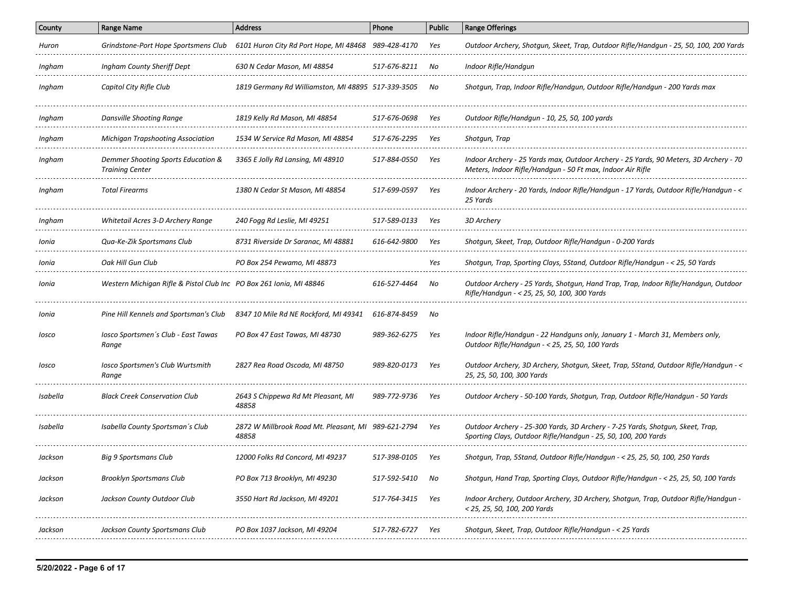| County   | <b>Range Name</b>                                                   | <b>Address</b>                                               | Phone        | <b>Public</b> | <b>Range Offerings</b>                                                                                                                              |
|----------|---------------------------------------------------------------------|--------------------------------------------------------------|--------------|---------------|-----------------------------------------------------------------------------------------------------------------------------------------------------|
| Huron    | Grindstone-Port Hope Sportsmens Club                                | 6101 Huron City Rd Port Hope, MI 48468 989-428-4170          |              | Yes           | Outdoor Archery, Shotgun, Skeet, Trap, Outdoor Rifle/Handgun - 25, 50, 100, 200 Yards                                                               |
| Ingham   | Ingham County Sheriff Dept                                          | 630 N Cedar Mason, MI 48854                                  | 517-676-8211 | No            | Indoor Rifle/Handgun                                                                                                                                |
| Ingham   | Capitol City Rifle Club                                             | 1819 Germany Rd Williamston, MI 48895 517-339-3505           |              | No            | Shotgun, Trap, Indoor Rifle/Handgun, Outdoor Rifle/Handgun - 200 Yards max                                                                          |
| Ingham   | Dansville Shooting Range                                            | 1819 Kelly Rd Mason, MI 48854                                | 517-676-0698 | Yes           | Outdoor Rifle/Handgun - 10, 25, 50, 100 yards                                                                                                       |
| Ingham   | <b>Michigan Trapshooting Association</b>                            | 1534 W Service Rd Mason, MI 48854                            | 517-676-2295 | Yes           | Shotgun, Trap                                                                                                                                       |
| Ingham   | Demmer Shooting Sports Education &<br><b>Training Center</b>        | 3365 E Jolly Rd Lansing, MI 48910                            | 517-884-0550 | Yes           | Indoor Archery - 25 Yards max, Outdoor Archery - 25 Yards, 90 Meters, 3D Archery - 70<br>Meters, Indoor Rifle/Handqun - 50 Ft max, Indoor Air Rifle |
| Ingham   | <b>Total Firearms</b>                                               | 1380 N Cedar St Mason, MI 48854                              | 517-699-0597 | Yes           | Indoor Archery - 20 Yards, Indoor Rifle/Handgun - 17 Yards, Outdoor Rifle/Handgun - <<br>25 Yards                                                   |
| Ingham   | Whitetail Acres 3-D Archery Range                                   | 240 Fogg Rd Leslie, MI 49251                                 | 517-589-0133 | Yes           | 3D Archery                                                                                                                                          |
| Ionia    | Qua-Ke-Zik Sportsmans Club                                          | 8731 Riverside Dr Saranac, MI 48881                          | 616-642-9800 | Yes           | Shotgun, Skeet, Trap, Outdoor Rifle/Handgun - 0-200 Yards                                                                                           |
| Ionia    | Oak Hill Gun Club                                                   | PO Box 254 Pewamo, MI 48873                                  |              | Yes           | Shotqun, Trap, Sporting Clays, 5Stand, Outdoor Rifle/Handqun - < 25, 50 Yards                                                                       |
| Ionia    | Western Michigan Rifle & Pistol Club Inc PO Box 261 Ionia, MI 48846 |                                                              | 616-527-4464 | No            | Outdoor Archery - 25 Yards, Shotgun, Hand Trap, Trap, Indoor Rifle/Handgun, Outdoor<br>Rifle/Handgun - < 25, 25, 50, 100, 300 Yards                 |
| Ionia    | Pine Hill Kennels and Sportsman's Club                              | 8347 10 Mile Rd NE Rockford, MI 49341                        | 616-874-8459 | No            |                                                                                                                                                     |
| losco    | Iosco Sportsmen's Club - East Tawas<br>Range                        | PO Box 47 East Tawas, MI 48730                               | 989-362-6275 | Yes           | Indoor Rifle/Handgun - 22 Handguns only, January 1 - March 31, Members only,<br>Outdoor Rifle/Handgun - < 25, 25, 50, 100 Yards                     |
| losco    | Iosco Sportsmen's Club Wurtsmith<br>Range                           | 2827 Rea Road Oscoda, MI 48750                               | 989-820-0173 | Yes           | Outdoor Archery, 3D Archery, Shotgun, Skeet, Trap, 5Stand, Outdoor Rifle/Handgun - <<br>25, 25, 50, 100, 300 Yards                                  |
| Isabella | <b>Black Creek Conservation Club</b>                                | 2643 S Chippewa Rd Mt Pleasant, MI<br>48858                  | 989-772-9736 | Yes           | Outdoor Archery - 50-100 Yards, Shotgun, Trap, Outdoor Rifle/Handgun - 50 Yards                                                                     |
| Isabella | Isabella County Sportsman's Club                                    | 2872 W Millbrook Road Mt. Pleasant, MI 989-621-2794<br>48858 |              | Yes           | Outdoor Archery - 25-300 Yards, 3D Archery - 7-25 Yards, Shotqun, Skeet, Trap,<br>Sporting Clays, Outdoor Rifle/Handgun - 25, 50, 100, 200 Yards    |
| Jackson  | Big 9 Sportsmans Club                                               | 12000 Folks Rd Concord, MI 49237                             | 517-398-0105 | Yes           | Shotgun, Trap, 5Stand, Outdoor Rifle/Handgun - < 25, 25, 50, 100, 250 Yards                                                                         |
| Jackson  | <b>Brooklyn Sportsmans Club</b>                                     | PO Box 713 Brooklyn, MI 49230                                | 517-592-5410 | No            | Shotgun, Hand Trap, Sporting Clays, Outdoor Rifle/Handgun - < 25, 25, 50, 100 Yards                                                                 |
| Jackson  | Jackson County Outdoor Club                                         | 3550 Hart Rd Jackson, MI 49201                               | 517-764-3415 | Yes           | Indoor Archery, Outdoor Archery, 3D Archery, Shotgun, Trap, Outdoor Rifle/Handgun -<br>< 25, 25, 50, 100, 200 Yards                                 |
| Jackson  | Jackson County Sportsmans Club                                      | PO Box 1037 Jackson, MI 49204                                | 517-782-6727 | Yes           | Shotgun, Skeet, Trap, Outdoor Rifle/Handgun - < 25 Yards                                                                                            |
|          |                                                                     |                                                              |              |               |                                                                                                                                                     |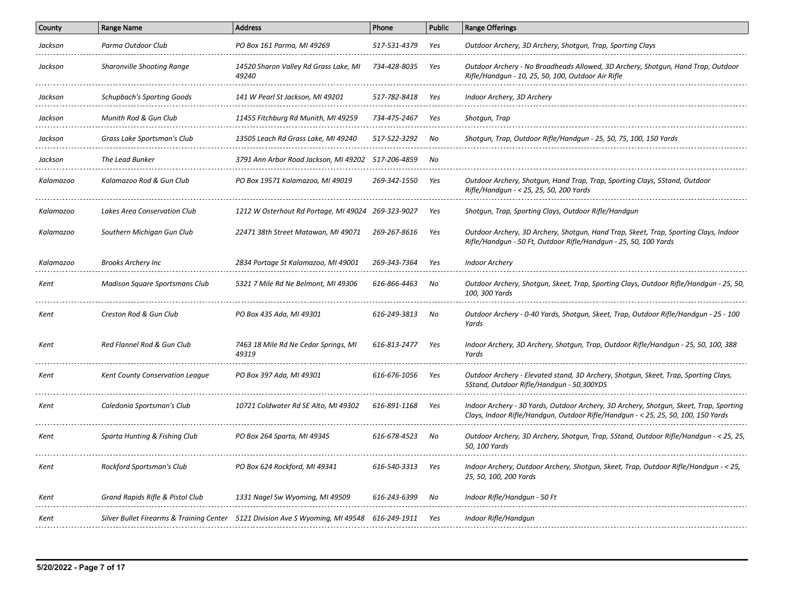| <b>Range Name</b>                     | <b>Address</b>                                 | Phone                                 | <b>Public</b>                                                                                                                        | <b>Range Offerings</b>                                                                                                                                                      |
|---------------------------------------|------------------------------------------------|---------------------------------------|--------------------------------------------------------------------------------------------------------------------------------------|-----------------------------------------------------------------------------------------------------------------------------------------------------------------------------|
| Parma Outdoor Club                    | PO Box 161 Parma, MI 49269                     | 517-531-4379                          | Yes                                                                                                                                  | Outdoor Archery, 3D Archery, Shotqun, Trap, Sporting Clays                                                                                                                  |
| <b>Sharonville Shooting Range</b>     | 14520 Sharon Valley Rd Grass Lake, MI<br>49240 | 734-428-8035                          | Yes                                                                                                                                  | Outdoor Archery - No Broadheads Allowed, 3D Archery, Shotgun, Hand Trap, Outdoor<br>Rifle/Handgun - 10, 25, 50, 100, Outdoor Air Rifle                                      |
| Schupbach's Sporting Goods            | 141 W Pearl St Jackson, MI 49201               | 517-782-8418                          | Yes                                                                                                                                  | Indoor Archery, 3D Archery                                                                                                                                                  |
| Munith Rod & Gun Club                 | 11455 Fitchburg Rd Munith, MI 49259            | 734-475-2467                          | Yes                                                                                                                                  | Shotgun, Trap                                                                                                                                                               |
| Grass Lake Sportsman's Club           | 13505 Leach Rd Grass Lake, MI 49240            | 517-522-3292                          | No                                                                                                                                   | Shotqun, Trap, Outdoor Rifle/Handqun - 25, 50, 75, 100, 150 Yards                                                                                                           |
| The Lead Bunker                       |                                                | 517-206-4859                          | No                                                                                                                                   |                                                                                                                                                                             |
| Kalamazoo Rod & Gun Club              | PO Box 19571 Kalamazoo, MI 49019               | 269-342-1550                          | Yes                                                                                                                                  | Outdoor Archery, Shotgun, Hand Trap, Trap, Sporting Clays, 5Stand, Outdoor<br>Rifle/Handqun - < 25, 25, 50, 200 Yards                                                       |
| Lakes Area Conservation Club          |                                                |                                       | Yes                                                                                                                                  | Shotgun, Trap, Sporting Clays, Outdoor Rifle/Handgun                                                                                                                        |
| Southern Michigan Gun Club            | 22471 38th Street Matawan, MI 49071            | 269-267-8616                          | Yes                                                                                                                                  | Outdoor Archery, 3D Archery, Shotgun, Hand Trap, Skeet, Trap, Sporting Clays, Indoor<br>Rifle/Handqun - 50 Ft, Outdoor Rifle/Handqun - 25, 50, 100 Yards                    |
| <b>Brooks Archery Inc</b>             | 2834 Portage St Kalamazoo, MI 49001            | 269-343-7364                          | Yes                                                                                                                                  | <b>Indoor Archery</b>                                                                                                                                                       |
| <b>Madison Square Sportsmans Club</b> | 5321 7 Mile Rd Ne Belmont, MI 49306            | 616-866-4463                          | No                                                                                                                                   | Outdoor Archery, Shotqun, Skeet, Trap, Sporting Clays, Outdoor Rifle/Handqun - 25, 50,<br>100, 300 Yards                                                                    |
| Creston Rod & Gun Club                | PO Box 435 Ada, MI 49301                       | 616-249-3813                          | No                                                                                                                                   | Outdoor Archery - 0-40 Yards, Shotgun, Skeet, Trap, Outdoor Rifle/Handgun - 25 - 100<br>Yards                                                                               |
| Red Flannel Rod & Gun Club            | 7463 18 Mile Rd Ne Cedar Springs, MI<br>49319  | 616-813-2477                          | Yes                                                                                                                                  | Indoor Archery, 3D Archery, Shotqun, Trap, Outdoor Rifle/Handqun - 25, 50, 100, 388<br>Yards                                                                                |
| Kent County Conservation League       | PO Box 397 Ada, MI 49301                       | 616-676-1056                          | Yes                                                                                                                                  | Outdoor Archery - Elevated stand, 3D Archery, Shotgun, Skeet, Trap, Sporting Clays,<br>5Stand, Outdoor Rifle/Handqun - 50,300YDS                                            |
| Caledonia Sportsman's Club            | 10721 Coldwater Rd SE Alto, MI 49302           | 616-891-1168                          | Yes                                                                                                                                  | Indoor Archery - 30 Yards, Outdoor Archery, 3D Archery, Shotgun, Skeet, Trap, Sporting<br>Clays, Indoor Rifle/Handgun, Outdoor Rifle/Handgun - < 25, 25, 50, 100, 150 Yards |
| Sparta Hunting & Fishing Club         | PO Box 264 Sparta, MI 49345                    | 616-678-4523                          | No                                                                                                                                   | Outdoor Archery, 3D Archery, Shotgun, Trap, 5Stand, Outdoor Rifle/Handgun - < 25, 25,<br>50, 100 Yards                                                                      |
| Rockford Sportsman's Club             | PO Box 624 Rockford, MI 49341                  | 616-540-3313                          | Yes                                                                                                                                  | Indoor Archery, Outdoor Archery, Shotgun, Skeet, Trap, Outdoor Rifle/Handgun - < 25,<br>25, 50, 100, 200 Yards                                                              |
| Grand Rapids Rifle & Pistol Club      | 1331 Nagel Sw Wyoming, MI 49509                | 616-243-6399                          | No                                                                                                                                   | Indoor Rifle/Handqun - 50 Ft                                                                                                                                                |
|                                       |                                                | 616-249-1911                          | Yes                                                                                                                                  | Indoor Rifle/Handgun                                                                                                                                                        |
|                                       |                                                | 3791 Ann Arbor Road Jackson, MI 49202 | 1212 W Osterhout Rd Portage, MI 49024 269-323-9027<br>Silver Bullet Firearms & Training Center 5121 Division Ave S Wyoming, MI 49548 |                                                                                                                                                                             |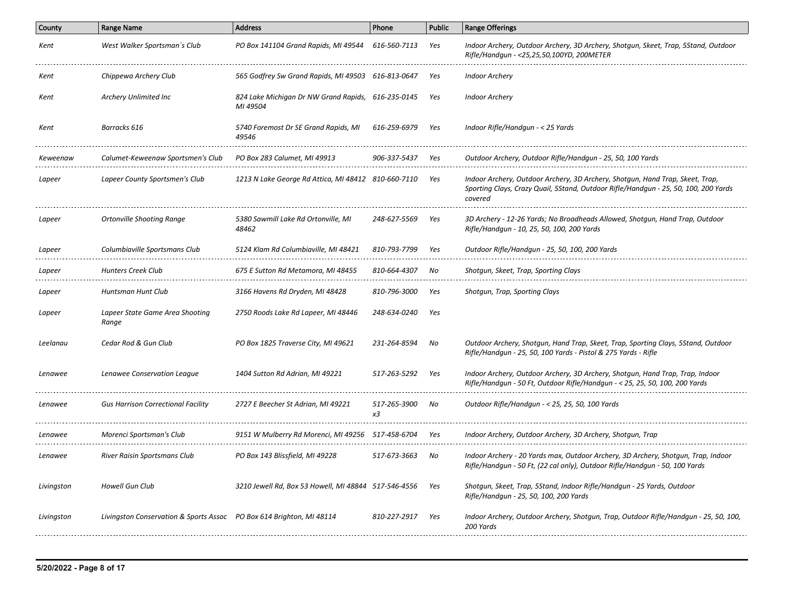| County     | <b>Range Name</b>                                                     | <b>Address</b>                                                 | Phone              | <b>Public</b> | <b>Range Offerings</b>                                                                                                                                                          |
|------------|-----------------------------------------------------------------------|----------------------------------------------------------------|--------------------|---------------|---------------------------------------------------------------------------------------------------------------------------------------------------------------------------------|
| Kent       | West Walker Sportsman's Club                                          | PO Box 141104 Grand Rapids, MI 49544                           | 616-560-7113       | Yes           | Indoor Archery, Outdoor Archery, 3D Archery, Shotgun, Skeet, Trap, 5Stand, Outdoor<br>Rifle/Handgun - <25,25,50,100YD, 200METER                                                 |
| Kent       | Chippewa Archery Club                                                 | 565 Godfrey Sw Grand Rapids, MI 49503 616-813-0647             |                    | Yes           | <b>Indoor Archery</b>                                                                                                                                                           |
| Kent       | Archery Unlimited Inc                                                 | 824 Lake Michigan Dr NW Grand Rapids, 616-235-0145<br>MI 49504 |                    | Yes           | <b>Indoor Archery</b>                                                                                                                                                           |
| Kent       | Barracks 616                                                          | 5740 Foremost Dr SE Grand Rapids, MI<br>49546                  | 616-259-6979       | Yes           | Indoor Rifle/Handgun - < 25 Yards                                                                                                                                               |
| Keweenaw   | Calumet-Keweenaw Sportsmen's Club                                     | PO Box 283 Calumet, MI 49913                                   | 906-337-5437       | Yes           | Outdoor Archery, Outdoor Rifle/Handgun - 25, 50, 100 Yards                                                                                                                      |
| Lapeer     | Lapeer County Sportsmen's Club                                        | 1213 N Lake George Rd Attica, MI 48412 810-660-7110            |                    | Yes           | Indoor Archery, Outdoor Archery, 3D Archery, Shotgun, Hand Trap, Skeet, Trap,<br>Sporting Clays, Crazy Quail, 5Stand, Outdoor Rifle/Handgun - 25, 50, 100, 200 Yards<br>covered |
| Lapeer     | Ortonville Shooting Range                                             | 5380 Sawmill Lake Rd Ortonville, MI<br>48462                   | 248-627-5569       | Yes           | 3D Archery - 12-26 Yards; No Broadheads Allowed, Shotgun, Hand Trap, Outdoor<br>Rifle/Handgun - 10, 25, 50, 100, 200 Yards                                                      |
| Lapeer     | Columbiaville Sportsmans Club                                         | 5124 Klam Rd Columbiaville, MI 48421                           | 810-793-7799       | Yes           | Outdoor Rifle/Handgun - 25, 50, 100, 200 Yards                                                                                                                                  |
| Lapeer     | Hunters Creek Club                                                    | 675 E Sutton Rd Metamora, MI 48455                             | 810-664-4307       | No            | Shotgun, Skeet, Trap, Sporting Clays                                                                                                                                            |
| Lapeer     | Huntsman Hunt Club                                                    | 3166 Havens Rd Dryden, MI 48428                                | 810-796-3000       | Yes           | Shotqun, Trap, Sporting Clays                                                                                                                                                   |
| Lapeer     | Lapeer State Game Area Shooting<br>Range                              | 2750 Roods Lake Rd Lapeer, MI 48446                            | 248-634-0240       | Yes           |                                                                                                                                                                                 |
| Leelanau   | Cedar Rod & Gun Club                                                  | PO Box 1825 Traverse City, MI 49621                            | 231-264-8594       | No            | Outdoor Archery, Shotgun, Hand Trap, Skeet, Trap, Sporting Clays, 5Stand, Outdoor<br>Rifle/Handgun - 25, 50, 100 Yards - Pistol & 275 Yards - Rifle                             |
| Lenawee    | Lenawee Conservation League                                           | 1404 Sutton Rd Adrian, MI 49221                                | 517-263-5292       | Yes           | Indoor Archery, Outdoor Archery, 3D Archery, Shotgun, Hand Trap, Trap, Indoor<br>Rifle/Handgun - 50 Ft, Outdoor Rifle/Handgun - < 25, 25, 50, 100, 200 Yards                    |
| Lenawee    | <b>Gus Harrison Correctional Facility</b>                             | 2727 E Beecher St Adrian, MI 49221                             | 517-265-3900<br>x3 | No            | Outdoor Rifle/Handgun - < 25, 25, 50, 100 Yards                                                                                                                                 |
| Lenawee    | Morenci Sportsman's Club                                              | 9151 W Mulberry Rd Morenci, MI 49256    517-458-6704           |                    | Yes           | Indoor Archery, Outdoor Archery, 3D Archery, Shotgun, Trap                                                                                                                      |
| Lenawee    | River Raisin Sportsmans Club                                          | PO Box 143 Blissfield, MI 49228                                | 517-673-3663       | No            | Indoor Archery - 20 Yards max, Outdoor Archery, 3D Archery, Shotqun, Trap, Indoor<br>Rifle/Handgun - 50 Ft, (22 cal only), Outdoor Rifle/Handgun - 50, 100 Yards                |
| Livingston | Howell Gun Club                                                       | 3210 Jewell Rd, Box 53 Howell, MI 48844 517-546-4556           |                    | Yes           | Shotgun, Skeet, Trap, 5Stand, Indoor Rifle/Handgun - 25 Yards, Outdoor<br>Rifle/Handgun - 25, 50, 100, 200 Yards                                                                |
| Livingston | Livingston Conservation & Sports Assoc  PO Box 614 Brighton, MI 48114 |                                                                | 810-227-2917       | Yes           | Indoor Archery, Outdoor Archery, Shotgun, Trap, Outdoor Rifle/Handgun - 25, 50, 100,<br>200 Yards                                                                               |
|            |                                                                       |                                                                |                    |               |                                                                                                                                                                                 |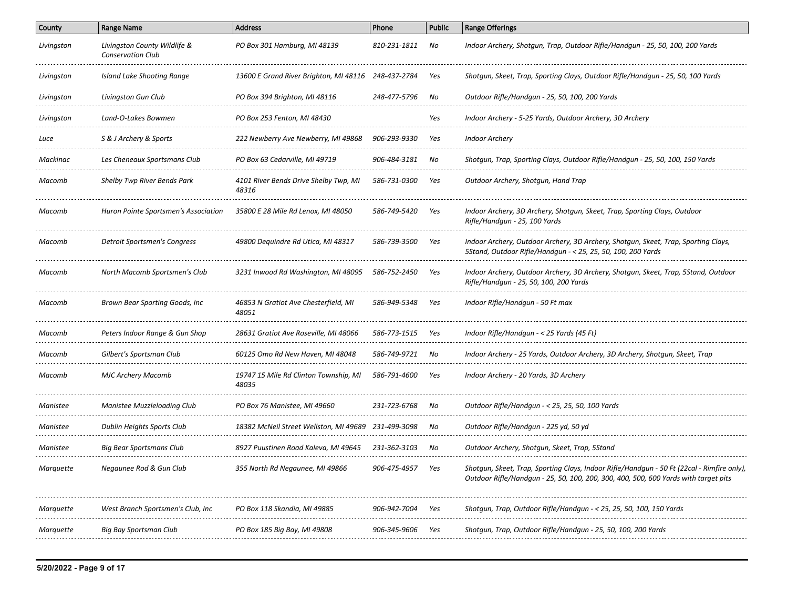| County     | <b>Range Name</b>                                        | <b>Address</b>                                      | Phone              | <b>Public</b> | <b>Range Offerings</b>                                                                                                                                                            |
|------------|----------------------------------------------------------|-----------------------------------------------------|--------------------|---------------|-----------------------------------------------------------------------------------------------------------------------------------------------------------------------------------|
| Livingston | Livingston County Wildlife &<br><b>Conservation Club</b> | PO Box 301 Hamburg, MI 48139                        | 810-231-1811       | No            | Indoor Archery, Shotgun, Trap, Outdoor Rifle/Handgun - 25, 50, 100, 200 Yards                                                                                                     |
| Livingston | Island Lake Shooting Range                               | 13600 E Grand River Brighton, MI 48116 248-437-2784 |                    | Yes           | Shotgun, Skeet, Trap, Sporting Clays, Outdoor Rifle/Handgun - 25, 50, 100 Yards                                                                                                   |
| Livingston | Livingston Gun Club                                      | PO Box 394 Brighton, MI 48116                       | 248-477-5796       | No            | Outdoor Rifle/Handgun - 25, 50, 100, 200 Yards                                                                                                                                    |
| Livingston | Land-O-Lakes Bowmen                                      | PO Box 253 Fenton, MI 48430                         |                    | Yes           | Indoor Archery - 5-25 Yards, Outdoor Archery, 3D Archery                                                                                                                          |
| Luce       | S & J Archery & Sports                                   | 222 Newberry Ave Newberry, MI 49868                 | 906-293-9330       | Yes           | <b>Indoor Archery</b>                                                                                                                                                             |
| Mackinac   | Les Cheneaux Sportsmans Club                             | PO Box 63 Cedarville, MI 49719                      | 906-484-3181       | No            | Shotgun, Trap, Sporting Clays, Outdoor Rifle/Handgun - 25, 50, 100, 150 Yards                                                                                                     |
| Macomb     | Shelby Twp River Bends Park                              | 4101 River Bends Drive Shelby Twp, MI<br>48316      | 586-731-0300       | Yes           | Outdoor Archery, Shotgun, Hand Trap                                                                                                                                               |
| Macomb     | Huron Pointe Sportsmen's Association                     | 35800 E 28 Mile Rd Lenox, MI 48050                  | 586-749-5420       | Yes           | Indoor Archery, 3D Archery, Shotgun, Skeet, Trap, Sporting Clays, Outdoor<br>Rifle/Handgun - 25, 100 Yards                                                                        |
| Macomb     | Detroit Sportsmen's Congress                             | 49800 Dequindre Rd Utica, MI 48317                  | 586-739-3500       | Yes           | Indoor Archery, Outdoor Archery, 3D Archery, Shotgun, Skeet, Trap, Sporting Clays,<br>5Stand, Outdoor Rifle/Handqun - < 25, 25, 50, 100, 200 Yards                                |
| Macomb     | North Macomb Sportsmen's Club                            | 3231 Inwood Rd Washington, MI 48095                 | 586-752-2450       | Yes           | Indoor Archery, Outdoor Archery, 3D Archery, Shotgun, Skeet, Trap, 5Stand, Outdoor<br>Rifle/Handgun - 25, 50, 100, 200 Yards                                                      |
| Macomb     | Brown Bear Sporting Goods, Inc                           | 46853 N Gratiot Ave Chesterfield, MI<br>48051       | 586-949-5348       | Yes           | Indoor Rifle/Handgun - 50 Ft max                                                                                                                                                  |
| Macomb     | Peters Indoor Range & Gun Shop                           | 28631 Gratiot Ave Roseville, MI 48066               | 586-773-1515       | Yes           | Indoor Rifle/Handgun - < 25 Yards (45 Ft)                                                                                                                                         |
| Macomb     | Gilbert's Sportsman Club                                 | 60125 Omo Rd New Haven, MI 48048                    | 586-749-9721       | No            | Indoor Archery - 25 Yards, Outdoor Archery, 3D Archery, Shotgun, Skeet, Trap                                                                                                      |
| Macomb     | <b>MJC Archery Macomb</b>                                | 19747 15 Mile Rd Clinton Township, MI<br>48035      | 586-791-4600       | Yes           | Indoor Archery - 20 Yards, 3D Archery                                                                                                                                             |
| Manistee   | Manistee Muzzleloading Club                              | PO Box 76 Manistee, MI 49660                        | 231-723-6768       | No            | Outdoor Rifle/Handgun - < 25, 25, 50, 100 Yards                                                                                                                                   |
| Manistee   | Dublin Heights Sports Club                               | 18382 McNeil Street Wellston, MI 49689              | 231-499-3098       | No            | Outdoor Rifle/Handgun - 225 yd, 50 yd                                                                                                                                             |
| Manistee   | <b>Big Bear Sportsmans Club</b>                          | 8927 Puustinen Road Kaleva, MI 49645                | 231-362-3103       | No            | Outdoor Archery, Shotgun, Skeet, Trap, 5Stand                                                                                                                                     |
| Marquette  | Negaunee Rod & Gun Club                                  | 355 North Rd Negaunee, MI 49866                     | $906 - 475 - 4957$ | Yes           | Shotgun, Skeet, Trap, Sporting Clays, Indoor Rifle/Handgun - 50 Ft (22cal - Rimfire only),<br>Outdoor Rifle/Handgun - 25, 50, 100, 200, 300, 400, 500, 600 Yards with target pits |
| Marquette  | West Branch Sportsmen's Club, Inc                        | PO Box 118 Skandia, MI 49885                        | 906-942-7004       | Yes           | Shotgun, Trap, Outdoor Rifle/Handgun - < 25, 25, 50, 100, 150 Yards                                                                                                               |
| Marquette  | Big Bay Sportsman Club                                   | PO Box 185 Big Bay, MI 49808                        | 906-345-9606       | Yes           | Shotgun, Trap, Outdoor Rifle/Handgun - 25, 50, 100, 200 Yards                                                                                                                     |
|            |                                                          |                                                     |                    |               |                                                                                                                                                                                   |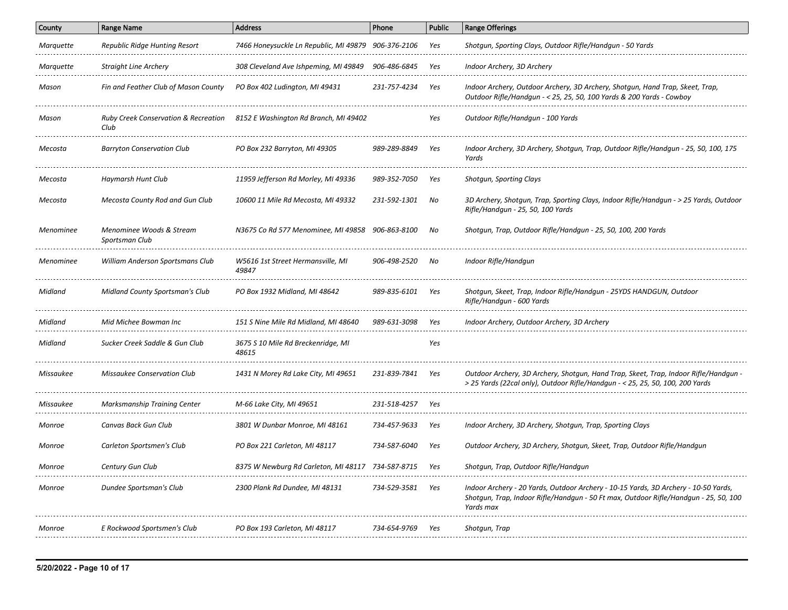| County    | <b>Range Name</b>                                       | <b>Address</b>                                      | Phone        | <b>Public</b> | <b>Range Offerings</b>                                                                                                                                                                   |
|-----------|---------------------------------------------------------|-----------------------------------------------------|--------------|---------------|------------------------------------------------------------------------------------------------------------------------------------------------------------------------------------------|
| Marquette | Republic Ridge Hunting Resort                           | 7466 Honeysuckle Ln Republic, MI 49879 906-376-2106 |              | Yes           | Shotgun, Sporting Clays, Outdoor Rifle/Handgun - 50 Yards                                                                                                                                |
| Marquette | <b>Straight Line Archery</b>                            | 308 Cleveland Ave Ishpeming, MI 49849               | 906-486-6845 | Yes           | Indoor Archery, 3D Archery                                                                                                                                                               |
| Mason     | Fin and Feather Club of Mason County                    | PO Box 402 Ludington, MI 49431                      | 231-757-4234 | Yes           | Indoor Archery, Outdoor Archery, 3D Archery, Shotgun, Hand Trap, Skeet, Trap,<br>Outdoor Rifle/Handgun - < 25, 25, 50, 100 Yards & 200 Yards - Cowboy                                    |
| Mason     | <b>Ruby Creek Conservation &amp; Recreation</b><br>Club | 8152 E Washington Rd Branch, MI 49402               |              | Yes           | Outdoor Rifle/Handgun - 100 Yards                                                                                                                                                        |
| Mecosta   | <b>Barryton Conservation Club</b>                       | PO Box 232 Barryton, MI 49305                       | 989-289-8849 | Yes           | Indoor Archery, 3D Archery, Shotgun, Trap, Outdoor Rifle/Handgun - 25, 50, 100, 175<br>Yards                                                                                             |
| Mecosta   | Haymarsh Hunt Club                                      | 11959 Jefferson Rd Morley, MI 49336                 | 989-352-7050 | Yes           | Shotgun, Sporting Clays                                                                                                                                                                  |
| Mecosta   | Mecosta County Rod and Gun Club                         | 10600 11 Mile Rd Mecosta, MI 49332                  | 231-592-1301 | No            | 3D Archery, Shotgun, Trap, Sporting Clays, Indoor Rifle/Handgun - > 25 Yards, Outdoor<br>Rifle/Handgun - 25, 50, 100 Yards                                                               |
| Menominee | Menominee Woods & Stream<br>Sportsman Club              | N3675 Co Rd 577 Menominee, MI 49858                 | 906-863-8100 | No            | Shotqun, Trap, Outdoor Rifle/Handqun - 25, 50, 100, 200 Yards                                                                                                                            |
| Menominee | William Anderson Sportsmans Club                        | W5616 1st Street Hermansville, MI<br>49847          | 906-498-2520 | No            | Indoor Rifle/Handqun                                                                                                                                                                     |
| Midland   | Midland County Sportsman's Club                         | PO Box 1932 Midland, MI 48642                       | 989-835-6101 | Yes           | Shotgun, Skeet, Trap, Indoor Rifle/Handgun - 25YDS HANDGUN, Outdoor<br>Rifle/Handgun - 600 Yards                                                                                         |
| Midland   | Mid Michee Bowman Inc                                   | 151 S Nine Mile Rd Midland. MI 48640                | 989-631-3098 | Yes           | Indoor Archery, Outdoor Archery, 3D Archery                                                                                                                                              |
| Midland   | Sucker Creek Saddle & Gun Club                          | 3675 S 10 Mile Rd Breckenridge, MI<br>48615         |              | Yes           |                                                                                                                                                                                          |
| Missaukee | Missaukee Conservation Club                             | 1431 N Morey Rd Lake City, MI 49651                 | 231-839-7841 | Yes           | Outdoor Archery, 3D Archery, Shotgun, Hand Trap, Skeet, Trap, Indoor Rifle/Handgun -<br>> 25 Yards (22cal only), Outdoor Rifle/Handgun - < 25, 25, 50, 100, 200 Yards                    |
| Missaukee | Marksmanship Training Center                            | M-66 Lake City, MI 49651                            | 231-518-4257 | Yes           |                                                                                                                                                                                          |
| Monroe    | Canvas Back Gun Club                                    | 3801 W Dunbar Monroe, MI 48161                      | 734-457-9633 | Yes           | Indoor Archery, 3D Archery, Shotgun, Trap, Sporting Clays                                                                                                                                |
| Monroe    | Carleton Sportsmen's Club                               | PO Box 221 Carleton, MI 48117                       | 734-587-6040 | Yes           | Outdoor Archery, 3D Archery, Shotgun, Skeet, Trap, Outdoor Rifle/Handgun                                                                                                                 |
| Monroe    | Century Gun Club                                        | 8375 W Newburg Rd Carleton, MI 48117 734-587-8715   |              | Yes           | Shotgun, Trap, Outdoor Rifle/Handgun                                                                                                                                                     |
| Monroe    | Dundee Sportsman's Club                                 | 2300 Plank Rd Dundee, MI 48131                      | 734-529-3581 | Yes           | Indoor Archery - 20 Yards, Outdoor Archery - 10-15 Yards, 3D Archery - 10-50 Yards,<br>Shotgun, Trap, Indoor Rifle/Handgun - 50 Ft max, Outdoor Rifle/Handgun - 25, 50, 100<br>Yards max |
| Monroe    | E Rockwood Sportsmen's Club                             | PO Box 193 Carleton, MI 48117                       | 734-654-9769 | Yes           | Shotgun, Trap                                                                                                                                                                            |
|           |                                                         |                                                     |              |               |                                                                                                                                                                                          |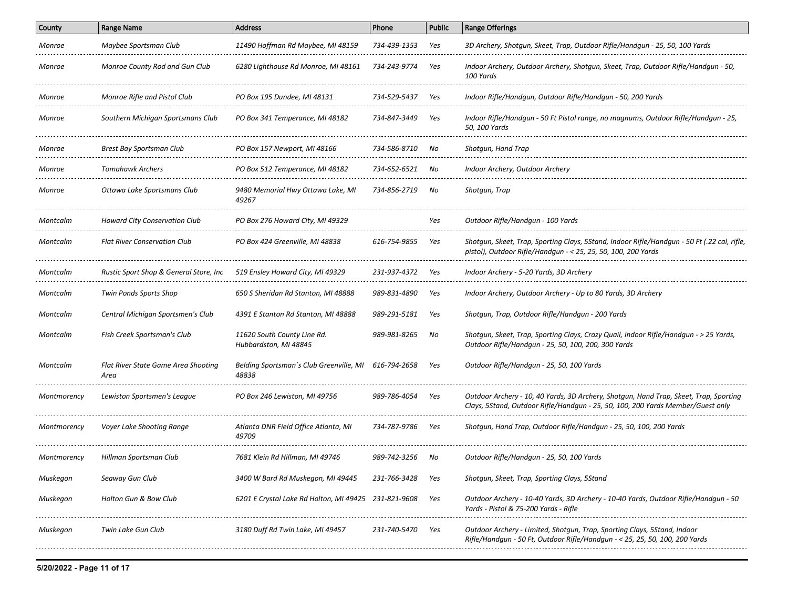| County      | <b>Range Name</b>                           | <b>Address</b>                                       | Phone        | <b>Public</b> | <b>Range Offerings</b>                                                                                                                                                   |
|-------------|---------------------------------------------|------------------------------------------------------|--------------|---------------|--------------------------------------------------------------------------------------------------------------------------------------------------------------------------|
| Monroe      | Maybee Sportsman Club                       | 11490 Hoffman Rd Maybee, MI 48159                    | 734-439-1353 | Yes           | 3D Archery, Shotgun, Skeet, Trap, Outdoor Rifle/Handgun - 25, 50, 100 Yards                                                                                              |
| Monroe      | Monroe County Rod and Gun Club              | 6280 Lighthouse Rd Monroe, MI 48161                  | 734-243-9774 | Yes           | Indoor Archery, Outdoor Archery, Shotgun, Skeet, Trap, Outdoor Rifle/Handgun - 50,<br>100 Yards                                                                          |
| Monroe      | Monroe Rifle and Pistol Club                | PO Box 195 Dundee, MI 48131                          | 734-529-5437 | Yes           | Indoor Rifle/Handgun, Outdoor Rifle/Handgun - 50, 200 Yards                                                                                                              |
| Monroe      | Southern Michigan Sportsmans Club           | PO Box 341 Temperance, MI 48182                      | 734-847-3449 | Yes           | Indoor Rifle/Handgun - 50 Ft Pistol range, no magnums, Outdoor Rifle/Handgun - 25,<br>50, 100 Yards                                                                      |
| Monroe      | Brest Bay Sportsman Club                    | PO Box 157 Newport, MI 48166                         | 734-586-8710 | No            | Shotqun, Hand Trap                                                                                                                                                       |
| Monroe      | <b>Tomahawk Archers</b>                     | PO Box 512 Temperance, MI 48182                      | 734-652-6521 | No            | Indoor Archery, Outdoor Archery                                                                                                                                          |
| Monroe      | Ottawa Lake Sportsmans Club                 | 9480 Memorial Hwy Ottawa Lake, MI<br>49267           | 734-856-2719 | No            | Shotqun, Trap                                                                                                                                                            |
| Montcalm    | Howard City Conservation Club               | PO Box 276 Howard City, MI 49329                     |              | Yes           | Outdoor Rifle/Handgun - 100 Yards                                                                                                                                        |
| Montcalm    | <b>Flat River Conservation Club</b>         | PO Box 424 Greenville, MI 48838                      | 616-754-9855 | Yes           | Shotqun, Skeet, Trap, Sporting Clays, 5Stand, Indoor Rifle/Handqun - 50 Ft (.22 cal, rifle,<br>pistol), Outdoor Rifle/Handgun - < 25, 25, 50, 100, 200 Yards             |
| Montcalm    | Rustic Sport Shop & General Store, Inc.     | 519 Ensley Howard City, MI 49329                     | 231-937-4372 | Yes           | Indoor Archery - 5-20 Yards, 3D Archery                                                                                                                                  |
| Montcalm    | Twin Ponds Sports Shop                      | 650 S Sheridan Rd Stanton, MI 48888                  | 989-831-4890 | Yes           | Indoor Archery, Outdoor Archery - Up to 80 Yards, 3D Archery                                                                                                             |
| Montcalm    | Central Michigan Sportsmen's Club           | 4391 E Stanton Rd Stanton, MI 48888                  | 989-291-5181 | Yes           | Shotgun, Trap, Outdoor Rifle/Handgun - 200 Yards                                                                                                                         |
| Montcalm    | Fish Creek Sportsman's Club                 | 11620 South County Line Rd.<br>Hubbardston, MI 48845 | 989-981-8265 | No            | Shotqun, Skeet, Trap, Sporting Clays, Crazy Quail, Indoor Rifle/Handqun - > 25 Yards,<br>Outdoor Rifle/Handgun - 25, 50, 100, 200, 300 Yards                             |
| Montcalm    | Flat River State Game Area Shooting<br>Area | Belding Sportsman's Club Greenville, MI<br>48838     | 616-794-2658 | Yes           | Outdoor Rifle/Handgun - 25, 50, 100 Yards                                                                                                                                |
| Montmorency | Lewiston Sportsmen's League                 | PO Box 246 Lewiston, MI 49756                        | 989-786-4054 | Yes           | Outdoor Archery - 10, 40 Yards, 3D Archery, Shotgun, Hand Trap, Skeet, Trap, Sporting<br>Clays, 5Stand, Outdoor Rifle/Handqun - 25, 50, 100, 200 Yards Member/Guest only |
| Montmorency | Voyer Lake Shooting Range                   | Atlanta DNR Field Office Atlanta, MI<br>49709        | 734-787-9786 | Yes           | Shotgun, Hand Trap, Outdoor Rifle/Handgun - 25, 50, 100, 200 Yards                                                                                                       |
| Montmorency | Hillman Sportsman Club                      | 7681 Klein Rd Hillman, MI 49746                      | 989-742-3256 | No            | Outdoor Rifle/Handgun - 25, 50, 100 Yards                                                                                                                                |
| Muskegon    | Seaway Gun Club                             | 3400 W Bard Rd Muskegon, MI 49445                    | 231-766-3428 | Yes           | Shotgun, Skeet, Trap, Sporting Clays, 5Stand                                                                                                                             |
| Muskegon    | Holton Gun & Bow Club                       | 6201 E Crystal Lake Rd Holton, MI 49425 231-821-9608 |              | Yes           | Outdoor Archery - 10-40 Yards, 3D Archery - 10-40 Yards, Outdoor Rifle/Handgun - 50<br>Yards - Pistol & 75-200 Yards - Rifle                                             |
| Muskegon    | Twin Lake Gun Club                          | 3180 Duff Rd Twin Lake, MI 49457                     | 231-740-5470 | Yes           | Outdoor Archery - Limited, Shotgun, Trap, Sporting Clays, 5Stand, Indoor<br>Rifle/Handgun - 50 Ft, Outdoor Rifle/Handgun - < 25, 25, 50, 100, 200 Yards                  |
|             |                                             |                                                      |              |               |                                                                                                                                                                          |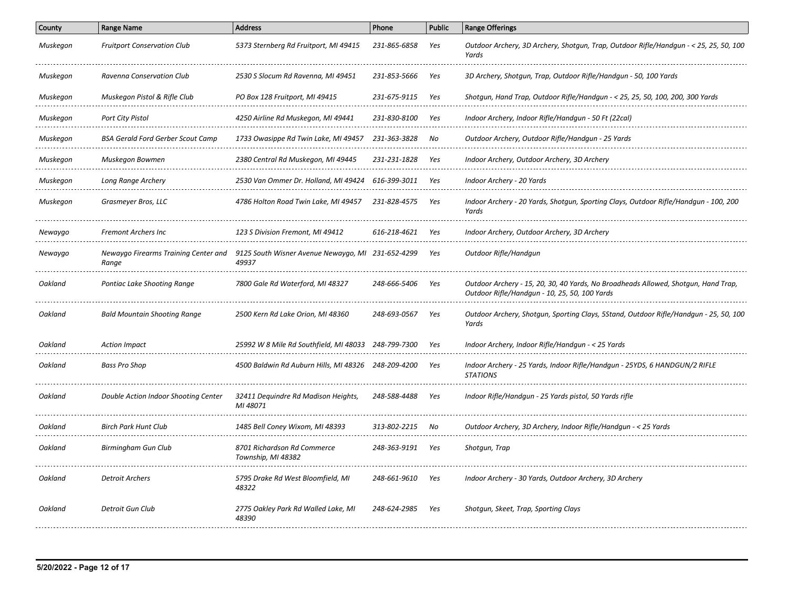| Muskegon | <b>Fruitport Conservation Club</b>                 | 5373 Sternberg Rd Fruitport, MI 49415                                                           | 231-865-6858 | Yes | Outdoor Archery, 3D Archery, Shotgun, Trap, Outdoor Rifle/Handgun - < 25, 25, 50, 100<br>Yards                                      |
|----------|----------------------------------------------------|-------------------------------------------------------------------------------------------------|--------------|-----|-------------------------------------------------------------------------------------------------------------------------------------|
| Muskegon | Ravenna Conservation Club                          | 2530 S Slocum Rd Ravenna, MI 49451                                                              | 231-853-5666 | Yes | 3D Archery, Shotgun, Trap, Outdoor Rifle/Handgun - 50, 100 Yards                                                                    |
| Muskegon | Muskegon Pistol & Rifle Club                       | PO Box 128 Fruitport, MI 49415                                                                  | 231-675-9115 | Yes | Shotgun, Hand Trap, Outdoor Rifle/Handgun - < 25, 25, 50, 100, 200, 300 Yards                                                       |
| Muskegon | Port City Pistol                                   | 4250 Airline Rd Muskegon, MI 49441                                                              | 231-830-8100 | Yes | Indoor Archery, Indoor Rifle/Handgun - 50 Ft (22cal)                                                                                |
| Muskegon | BSA Gerald Ford Gerber Scout Camp                  | 1733 Owasippe Rd Twin Lake, MI 49457                                                            | 231-363-3828 | No  | Outdoor Archery, Outdoor Rifle/Handgun - 25 Yards                                                                                   |
| Muskegon | Muskegon Bowmen                                    | 2380 Central Rd Muskegon, MI 49445                                                              | 231-231-1828 | Yes | Indoor Archery, Outdoor Archery, 3D Archery                                                                                         |
| Muskegon | Long Range Archery                                 | 2530 Van Ommer Dr. Holland, MI 49424                                                            | 616-399-3011 | Yes | Indoor Archery - 20 Yards                                                                                                           |
| Muskegon | Grasmeyer Bros, LLC                                | 4786 Holton Road Twin Lake, MI 49457                                                            | 231-828-4575 | Yes | Indoor Archery - 20 Yards, Shotgun, Sporting Clays, Outdoor Rifle/Handgun - 100, 200<br>Yards                                       |
| Newaygo  | <b>Fremont Archers Inc</b>                         | 123 S Division Fremont, MI 49412                                                                | 616-218-4621 | Yes | Indoor Archery, Outdoor Archery, 3D Archery                                                                                         |
| Newaygo  | Range                                              | Newaygo Firearms Training Center and 9125 South Wisner Avenue Newaygo, MI 231-652-4299<br>49937 |              | Yes | Outdoor Rifle/Handgun                                                                                                               |
| Oakland  | Pontiac Lake Shooting Range                        | 7800 Gale Rd Waterford, MI 48327                                                                | 248-666-5406 | Yes | Outdoor Archery - 15, 20, 30, 40 Yards, No Broadheads Allowed, Shotgun, Hand Trap,<br>Outdoor Rifle/Handqun - 10, 25, 50, 100 Yards |
| Oakland  | <b>Bald Mountain Shooting Range</b>                | 2500 Kern Rd Lake Orion, MI 48360                                                               | 248-693-0567 | Yes | Outdoor Archery, Shotgun, Sporting Clays, 5Stand, Outdoor Rifle/Handgun - 25, 50, 100<br>Yards                                      |
| Oakland  | <b>Action Impact</b>                               | 25992 W 8 Mile Rd Southfield, MI 48033 248-799-7300                                             |              | Yes | Indoor Archery, Indoor Rifle/Handgun - < 25 Yards                                                                                   |
| Oakland  | Bass Pro Shop                                      | 4500 Baldwin Rd Auburn Hills, MI 48326 248-209-4200                                             |              | Yes | Indoor Archery - 25 Yards, Indoor Rifle/Handqun - 25YDS, 6 HANDGUN/2 RIFLE<br><b>STATIONS</b>                                       |
| Oakland  | Double Action Indoor Shooting Center               | 32411 Dequindre Rd Madison Heights,<br>MI 48071                                                 | 248-588-4488 | Yes | Indoor Rifle/Handgun - 25 Yards pistol, 50 Yards rifle                                                                              |
| Oakland  | <b>Birch Park Hunt Club</b><br>___________________ | 1485 Bell Coney Wixom, MI 48393<br>-------------------------------------                        | 313-802-2215 | No  | Outdoor Archery, 3D Archery, Indoor Rifle/Handgun - < 25 Yards                                                                      |
| Oakland  | Birmingham Gun Club                                | 8701 Richardson Rd Commerce<br>Township, MI 48382                                               | 248-363-9191 | Yes | Shotgun, Trap                                                                                                                       |
| Oakland  | <b>Detroit Archers</b>                             | 5795 Drake Rd West Bloomfield, MI<br>48322                                                      | 248-661-9610 | Yes | Indoor Archery - 30 Yards, Outdoor Archery, 3D Archery                                                                              |
| Oakland  | Detroit Gun Club                                   | 2775 Oakley Park Rd Walled Lake, MI<br>48390                                                    | 248-624-2985 | Yes | Shotgun, Skeet, Trap, Sporting Clays                                                                                                |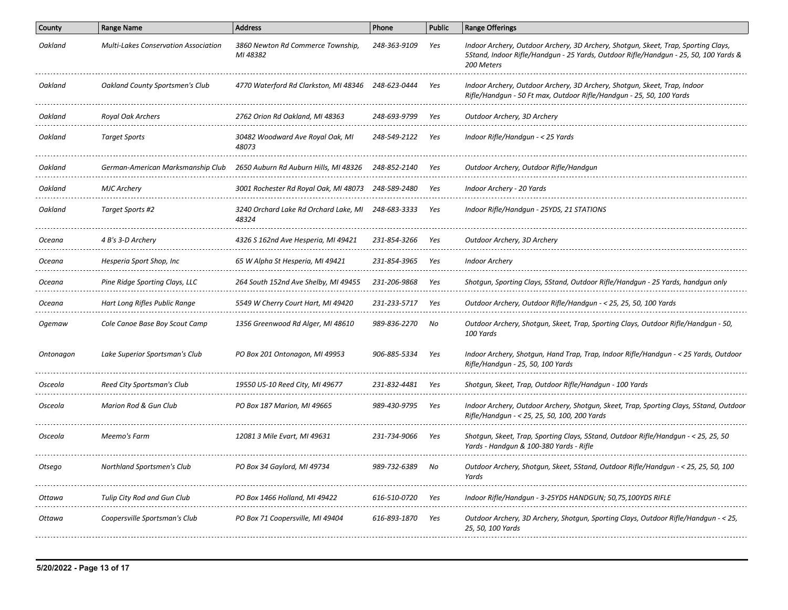| County    | <b>Range Name</b>                           | <b>Address</b>                                     | Phone        | <b>Public</b> | <b>Range Offerings</b>                                                                                                                                                                   |
|-----------|---------------------------------------------|----------------------------------------------------|--------------|---------------|------------------------------------------------------------------------------------------------------------------------------------------------------------------------------------------|
| Oakland   | <b>Multi-Lakes Conservation Association</b> | 3860 Newton Rd Commerce Township,<br>MI 48382      | 248-363-9109 | Yes           | Indoor Archery, Outdoor Archery, 3D Archery, Shotgun, Skeet, Trap, Sporting Clays,<br>5Stand, Indoor Rifle/Handgun - 25 Yards, Outdoor Rifle/Handgun - 25, 50, 100 Yards &<br>200 Meters |
| Oakland   | <b>Oakland County Sportsmen's Club</b>      | 4770 Waterford Rd Clarkston, MI 48346 248-623-0444 |              | Yes           | Indoor Archery, Outdoor Archery, 3D Archery, Shotgun, Skeet, Trap, Indoor<br>Rifle/Handqun - 50 Ft max, Outdoor Rifle/Handqun - 25, 50, 100 Yards                                        |
| Oakland   | Royal Oak Archers                           | 2762 Orion Rd Oakland, MI 48363                    | 248-693-9799 | Yes           | Outdoor Archery, 3D Archery                                                                                                                                                              |
| Oakland   | <b>Target Sports</b>                        | 30482 Woodward Ave Royal Oak, MI<br>48073          | 248-549-2122 | Yes           | Indoor Rifle/Handqun - < 25 Yards                                                                                                                                                        |
| Oakland   | German-American Marksmanship Club           | 2650 Auburn Rd Auburn Hills, MI 48326              | 248-852-2140 | Yes           | Outdoor Archery, Outdoor Rifle/Handgun                                                                                                                                                   |
| Oakland   | <b>MJC Archery</b>                          | 3001 Rochester Rd Royal Oak, MI 48073              | 248-589-2480 | Yes           | Indoor Archery - 20 Yards                                                                                                                                                                |
| Oakland   | Target Sports #2                            | 3240 Orchard Lake Rd Orchard Lake, MI<br>48324     | 248-683-3333 | Yes           | Indoor Rifle/Handgun - 25YDS, 21 STATIONS                                                                                                                                                |
| Oceana    | 4 B's 3-D Archery                           | 4326 S 162nd Ave Hesperia, MI 49421                | 231-854-3266 | Yes           | Outdoor Archery, 3D Archery                                                                                                                                                              |
| Oceana    | Hesperia Sport Shop, Inc                    | 65 W Alpha St Hesperia, MI 49421                   | 231-854-3965 | Yes           | <b>Indoor Archery</b>                                                                                                                                                                    |
| Oceana    | Pine Ridge Sporting Clays, LLC              | 264 South 152nd Ave Shelby, MI 49455               | 231-206-9868 | Yes           | Shotgun, Sporting Clays, 5Stand, Outdoor Rifle/Handgun - 25 Yards, handgun only                                                                                                          |
| Oceana    | Hart Long Rifles Public Range               | 5549 W Cherry Court Hart, MI 49420                 | 231-233-5717 | Yes           | Outdoor Archery, Outdoor Rifle/Handgun - < 25, 25, 50, 100 Yards                                                                                                                         |
| Ogemaw    | Cole Canoe Base Boy Scout Camp              | 1356 Greenwood Rd Alger, MI 48610                  | 989-836-2270 | No            | Outdoor Archery, Shotgun, Skeet, Trap, Sporting Clays, Outdoor Rifle/Handgun - 50,<br>100 Yards                                                                                          |
| Ontonagon | Lake Superior Sportsman's Club              | PO Box 201 Ontonagon, MI 49953                     | 906-885-5334 | Yes           | Indoor Archery, Shotgun, Hand Trap, Trap, Indoor Rifle/Handgun - < 25 Yards, Outdoor<br>Rifle/Handgun - 25, 50, 100 Yards                                                                |
| Osceola   | Reed City Sportsman's Club                  | 19550 US-10 Reed City, MI 49677                    | 231-832-4481 | Yes           | Shotgun, Skeet, Trap, Outdoor Rifle/Handgun - 100 Yards                                                                                                                                  |
| Osceola   | Marion Rod & Gun Club                       | PO Box 187 Marion, MI 49665                        | 989-430-9795 | Yes           | Indoor Archery, Outdoor Archery, Shotgun, Skeet, Trap, Sporting Clays, 5Stand, Outdoor<br>Rifle/Handgun - < 25, 25, 50, 100, 200 Yards                                                   |
| Osceola   | Meemo's Farm                                | 12081 3 Mile Evart, MI 49631                       | 231-734-9066 | Yes           | Shotgun, Skeet, Trap, Sporting Clays, 5Stand, Outdoor Rifle/Handgun - < 25, 25, 50<br>Yards - Handgun & 100-380 Yards - Rifle                                                            |
| Otsego    | Northland Sportsmen's Club                  | PO Box 34 Gaylord, MI 49734                        | 989-732-6389 |               | Outdoor Archery, Shotgun, Skeet, 5Stand, Outdoor Rifle/Handgun - < 25, 25, 50, 100<br>Yards                                                                                              |
| Ottawa    | Tulip City Rod and Gun Club                 | PO Box 1466 Holland, MI 49422                      | 616-510-0720 | Yes           | Indoor Rifle/Handgun - 3-25YDS HANDGUN; 50,75,100YDS RIFLE                                                                                                                               |
| Ottawa    | Coopersville Sportsman's Club               | PO Box 71 Coopersville, MI 49404                   | 616-893-1870 | Yes           | Outdoor Archery, 3D Archery, Shotgun, Sporting Clays, Outdoor Rifle/Handgun - < 25,<br>25, 50, 100 Yards                                                                                 |
|           |                                             |                                                    |              |               |                                                                                                                                                                                          |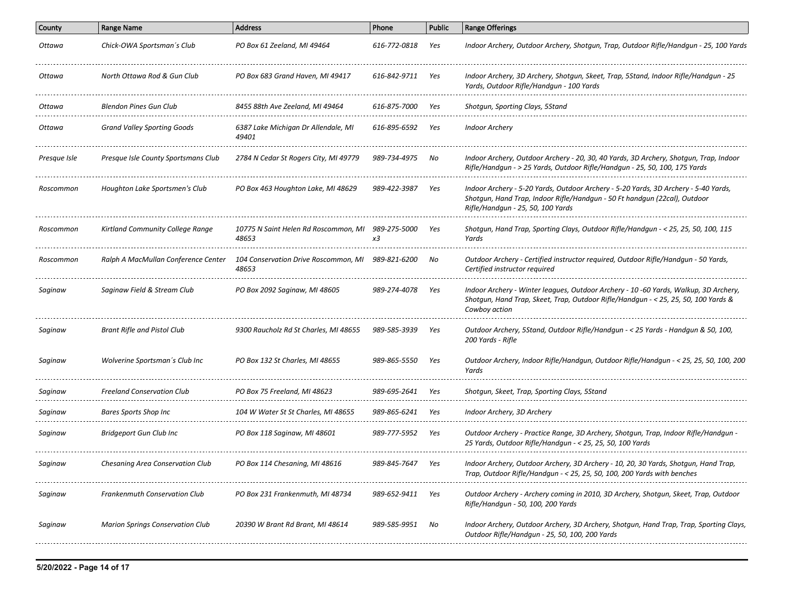| <b>Range Name</b>                       | <b>Address</b>                               | Phone        | <b>Public</b>                                                                             | <b>Range Offerings</b>                                                                                                                                                                                |
|-----------------------------------------|----------------------------------------------|--------------|-------------------------------------------------------------------------------------------|-------------------------------------------------------------------------------------------------------------------------------------------------------------------------------------------------------|
| Chick-OWA Sportsman's Club              | PO Box 61 Zeeland, MI 49464                  | 616-772-0818 | Yes                                                                                       | Indoor Archery, Outdoor Archery, Shotgun, Trap, Outdoor Rifle/Handgun - 25, 100 Yards                                                                                                                 |
| North Ottawa Rod & Gun Club             | PO Box 683 Grand Haven, MI 49417             | 616-842-9711 | Yes                                                                                       | Indoor Archery, 3D Archery, Shotgun, Skeet, Trap, 5Stand, Indoor Rifle/Handgun - 25<br>Yards, Outdoor Rifle/Handqun - 100 Yards                                                                       |
| Blendon Pines Gun Club                  | 8455 88th Ave Zeeland, MI 49464              | 616-875-7000 | Yes                                                                                       | Shotgun, Sporting Clays, 5Stand                                                                                                                                                                       |
| Grand Valley Sporting Goods             | 6387 Lake Michigan Dr Allendale, MI<br>49401 | 616-895-6592 | Yes                                                                                       | <b>Indoor Archery</b>                                                                                                                                                                                 |
| Presque Isle County Sportsmans Club     | 2784 N Cedar St Rogers City, MI 49779        | 989-734-4975 | No                                                                                        | Indoor Archery, Outdoor Archery - 20, 30, 40 Yards, 3D Archery, Shotgun, Trap, Indoor<br>Rifle/Handgun - > 25 Yards, Outdoor Rifle/Handgun - 25, 50, 100, 175 Yards                                   |
| Houghton Lake Sportsmen's Club          | PO Box 463 Houghton Lake, MI 48629           | 989-422-3987 | Yes                                                                                       | Indoor Archery - 5-20 Yards, Outdoor Archery - 5-20 Yards, 3D Archery - 5-40 Yards,<br>Shotgun, Hand Trap, Indoor Rifle/Handgun - 50 Ft handgun (22cal), Outdoor<br>Rifle/Handgun - 25, 50, 100 Yards |
| Kirtland Community College Range        | 48653                                        | x3           | Yes                                                                                       | Shotgun, Hand Trap, Sporting Clays, Outdoor Rifle/Handgun - < 25, 25, 50, 100, 115<br>Yards                                                                                                           |
| Ralph A MacMullan Conference Center     | 48653                                        | 989-821-6200 | No                                                                                        | Outdoor Archery - Certified instructor required, Outdoor Rifle/Handgun - 50 Yards,<br>Certified instructor required                                                                                   |
| Saginaw Field & Stream Club             | PO Box 2092 Saginaw, MI 48605                | 989-274-4078 | Yes                                                                                       | Indoor Archery - Winter leagues, Outdoor Archery - 10 -60 Yards, Walkup, 3D Archery,<br>Shotgun, Hand Trap, Skeet, Trap, Outdoor Rifle/Handgun - < 25, 25, 50, 100 Yards &<br>Cowboy action           |
| Brant Rifle and Pistol Club             | 9300 Raucholz Rd St Charles, MI 48655        | 989-585-3939 | Yes                                                                                       | Outdoor Archery, 5Stand, Outdoor Rifle/Handgun - < 25 Yards - Handgun & 50, 100,<br>200 Yards - Rifle                                                                                                 |
| Wolverine Sportsman's Club Inc          | PO Box 132 St Charles, MI 48655              | 989-865-5550 | Yes                                                                                       | Outdoor Archery, Indoor Rifle/Handgun, Outdoor Rifle/Handgun - < 25, 25, 50, 100, 200<br>Yards                                                                                                        |
| <b>Freeland Conservation Club</b>       | PO Box 75 Freeland, MI 48623                 | 989-695-2641 | Yes                                                                                       | Shotgun, Skeet, Trap, Sporting Clays, 5Stand                                                                                                                                                          |
| Bares Sports Shop Inc                   | 104 W Water St St Charles, MI 48655          | 989-865-6241 | Yes                                                                                       | Indoor Archery, 3D Archery                                                                                                                                                                            |
| <b>Bridgeport Gun Club Inc</b>          | PO Box 118 Saginaw, MI 48601                 | 989-777-5952 | Yes                                                                                       | Outdoor Archery - Practice Range, 3D Archery, Shotgun, Trap, Indoor Rifle/Handgun -<br>25 Yards, Outdoor Rifle/Handgun - < 25, 25, 50, 100 Yards                                                      |
| Chesaning Area Conservation Club        | PO Box 114 Chesaning, MI 48616               | 989-845-7647 | Yes                                                                                       | Indoor Archery, Outdoor Archery, 3D Archery - 10, 20, 30 Yards, Shotgun, Hand Trap,<br>Trap, Outdoor Rifle/Handgun - < 25, 25, 50, 100, 200 Yards with benches                                        |
| Frankenmuth Conservation Club           | PO Box 231 Frankenmuth, MI 48734             | 989-652-9411 | Yes                                                                                       | Outdoor Archery - Archery coming in 2010, 3D Archery, Shotgun, Skeet, Trap, Outdoor<br>Rifle/Handgun - 50, 100, 200 Yards                                                                             |
| <b>Marion Springs Conservation Club</b> | 20390 W Brant Rd Brant, MI 48614             | 989-585-9951 | No                                                                                        | Indoor Archery, Outdoor Archery, 3D Archery, Shotgun, Hand Trap, Trap, Sporting Clays,<br>Outdoor Rifle/Handgun - 25, 50, 100, 200 Yards                                                              |
|                                         |                                              |              | 10775 N Saint Helen Rd Roscommon, MI 989-275-5000<br>104 Conservation Drive Roscommon, MI |                                                                                                                                                                                                       |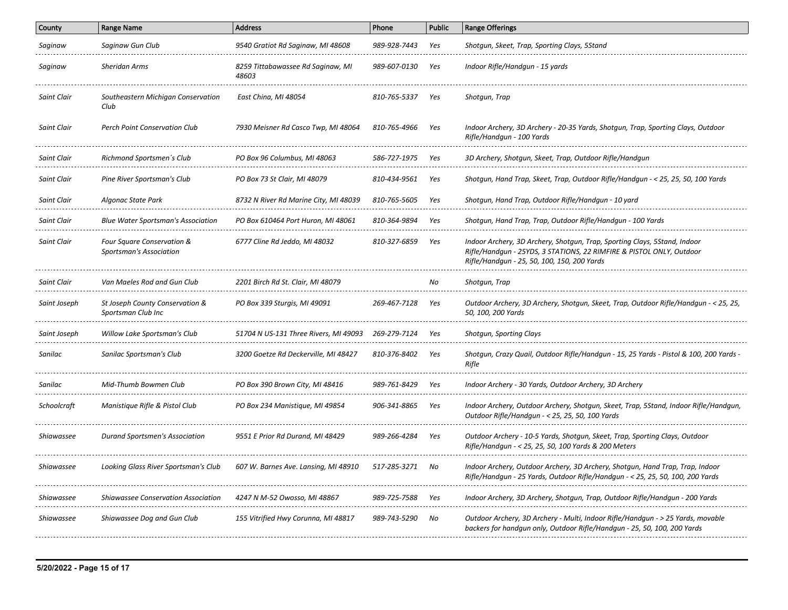| County             | <b>Range Name</b>                                                   | <b>Address</b>                                                           | Phone        | <b>Public</b> | <b>Range Offerings</b>                                                                                                                                                                           |
|--------------------|---------------------------------------------------------------------|--------------------------------------------------------------------------|--------------|---------------|--------------------------------------------------------------------------------------------------------------------------------------------------------------------------------------------------|
| Saginaw            | Saginaw Gun Club                                                    | 9540 Gratiot Rd Saginaw, MI 48608                                        | 989-928-7443 | Yes           | Shotgun, Skeet, Trap, Sporting Clays, 5Stand                                                                                                                                                     |
| Saginaw            | <b>Sheridan Arms</b>                                                | 8259 Tittabawassee Rd Saginaw, MI<br>48603                               | 989-607-0130 | Yes           | Indoor Rifle/Handqun - 15 yards                                                                                                                                                                  |
| <b>Saint Clair</b> | Southeastern Michigan Conservation<br>Club                          | East China, MI 48054                                                     | 810-765-5337 | Yes           | Shotgun, Trap                                                                                                                                                                                    |
| Saint Clair        | Perch Point Conservation Club                                       | 7930 Meisner Rd Casco Twp, MI 48064                                      | 810-765-4966 | Yes           | Indoor Archery, 3D Archery - 20-35 Yards, Shotgun, Trap, Sporting Clays, Outdoor<br>Rifle/Handgun - 100 Yards                                                                                    |
| Saint Clair        | Richmond Sportsmen's Club                                           | PO Box 96 Columbus. MI 48063                                             | 586-727-1975 | Yes           | 3D Archery, Shotgun, Skeet, Trap, Outdoor Rifle/Handgun                                                                                                                                          |
| <b>Saint Clair</b> | Pine River Sportsman's Club                                         | PO Box 73 St Clair, MI 48079                                             | 810-434-9561 | Yes           | Shotgun, Hand Trap, Skeet, Trap, Outdoor Rifle/Handgun - < 25, 25, 50, 100 Yards                                                                                                                 |
| Saint Clair        | Algonac State Park                                                  | 8732 N River Rd Marine City, MI 48039                                    | 810-765-5605 | Yes           | Shotgun, Hand Trap, Outdoor Rifle/Handgun - 10 yard                                                                                                                                              |
| Saint Clair        | <b>Blue Water Sportsman's Association</b>                           | PO Box 610464 Port Huron, MI 48061                                       | 810-364-9894 | Yes           | Shotqun, Hand Trap, Trap, Outdoor Rifle/Handqun - 100 Yards                                                                                                                                      |
| <b>Saint Clair</b> | Four Square Conservation &<br><b>Sportsman's Association</b>        | 6777 Cline Rd Jeddo, MI 48032                                            | 810-327-6859 | Yes           | Indoor Archery, 3D Archery, Shotgun, Trap, Sporting Clays, 5Stand, Indoor<br>Rifle/Handgun - 25YDS, 3 STATIONS, 22 RIMFIRE & PISTOL ONLY, Outdoor<br>Rifle/Handqun - 25, 50, 100, 150, 200 Yards |
| Saint Clair<br>.   | Van Maeles Rod and Gun Club<br>------------------------------------ | 2201 Birch Rd St. Clair, MI 48079<br>----------------------------------- |              | No            | Shotgun, Trap                                                                                                                                                                                    |
| Saint Joseph       | St Joseph County Conservation &<br>Sportsman Club Inc               | PO Box 339 Sturgis, MI 49091                                             | 269-467-7128 | Yes           | Outdoor Archery, 3D Archery, Shotgun, Skeet, Trap, Outdoor Rifle/Handgun - < 25, 25,<br>50, 100, 200 Yards                                                                                       |
| Saint Joseph       | Willow Lake Sportsman's Club                                        | 51704 N US-131 Three Rivers, MI 49093                                    | 269-279-7124 | Yes           | Shotgun, Sporting Clays                                                                                                                                                                          |
| Sanilac            | Sanilac Sportsman's Club                                            | 3200 Goetze Rd Deckerville, MI 48427                                     | 810-376-8402 | Yes           | Shotgun, Crazy Quail, Outdoor Rifle/Handgun - 15, 25 Yards - Pistol & 100, 200 Yards -<br>Rifle                                                                                                  |
| Sanilac            | Mid-Thumb Bowmen Club                                               | PO Box 390 Brown City, MI 48416                                          | 989-761-8429 | Yes           | Indoor Archery - 30 Yards, Outdoor Archery, 3D Archery                                                                                                                                           |
| Schoolcraft        | Manistique Rifle & Pistol Club                                      | PO Box 234 Manistique, MI 49854                                          | 906-341-8865 | Yes           | Indoor Archery, Outdoor Archery, Shotgun, Skeet, Trap, 5Stand, Indoor Rifle/Handgun,<br>Outdoor Rifle/Handgun - < 25, 25, 50, 100 Yards                                                          |
| Shiawassee         | Durand Sportsmen's Association                                      | 9551 E Prior Rd Durand, MI 48429                                         | 989-266-4284 | Yes           | Outdoor Archery - 10-5 Yards, Shotgun, Skeet, Trap, Sporting Clays, Outdoor<br>Rifle/Handgun - < 25, 25, 50, 100 Yards & 200 Meters                                                              |
| Shiawassee         | Looking Glass River Sportsman's Club                                | 607 W. Barnes Ave. Lansing, MI 48910                                     | 517-285-3271 | No            | Indoor Archery, Outdoor Archery, 3D Archery, Shotgun, Hand Trap, Trap, Indoor<br>Rifle/Handgun - 25 Yards, Outdoor Rifle/Handgun - < 25, 25, 50, 100, 200 Yards                                  |
| <b>Shiawassee</b>  | <b>Shiawassee Conservation Association</b>                          | 4247 N M-52 Owosso, MI 48867                                             | 989-725-7588 | Yes           | Indoor Archery, 3D Archery, Shotgun, Trap, Outdoor Rifle/Handgun - 200 Yards                                                                                                                     |
| Shiawassee         | Shiawassee Dog and Gun Club                                         | 155 Vitrified Hwy Corunna, MI 48817                                      | 989-743-5290 | No            | Outdoor Archery, 3D Archery - Multi, Indoor Rifle/Handgun - > 25 Yards, movable<br>backers for handgun only, Outdoor Rifle/Handgun - 25, 50, 100, 200 Yards                                      |
|                    |                                                                     |                                                                          |              |               |                                                                                                                                                                                                  |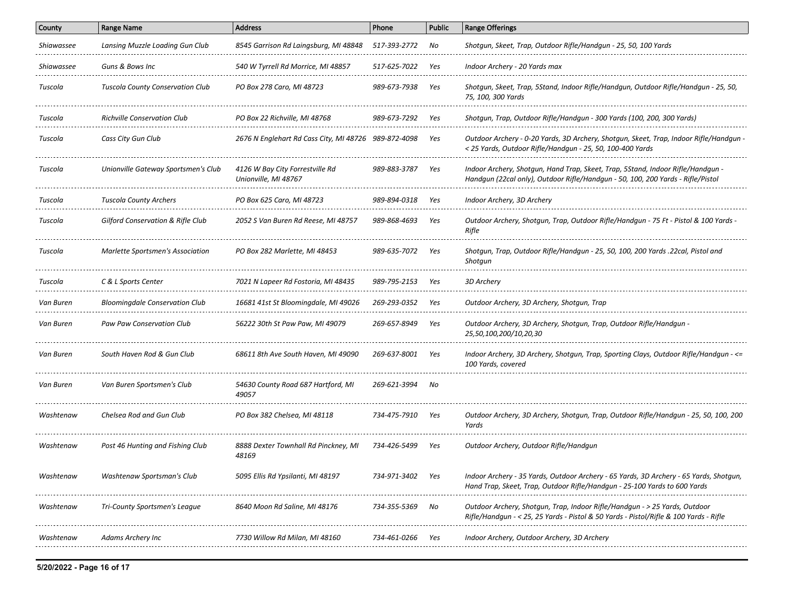| County            | <b>Range Name</b>                            | <b>Address</b>                                          | Phone        | <b>Public</b> | <b>Range Offerings</b>                                                                                                                                              |
|-------------------|----------------------------------------------|---------------------------------------------------------|--------------|---------------|---------------------------------------------------------------------------------------------------------------------------------------------------------------------|
| Shiawassee        | Lansing Muzzle Loading Gun Club              | 8545 Garrison Rd Laingsburg, MI 48848                   | 517-393-2772 | No            | Shotqun, Skeet, Trap, Outdoor Rifle/Handqun - 25, 50, 100 Yards                                                                                                     |
| <i>Shiawassee</i> | Guns & Bows Inc                              | 540 W Tyrrell Rd Morrice, MI 48857                      | 517-625-7022 | Yes           | Indoor Archery - 20 Yards max                                                                                                                                       |
| Tuscola           | <b>Tuscola County Conservation Club</b>      | PO Box 278 Caro, MI 48723                               | 989-673-7938 | Yes           | Shotgun, Skeet, Trap, 5Stand, Indoor Rifle/Handgun, Outdoor Rifle/Handgun - 25, 50,<br>75, 100, 300 Yards                                                           |
| Tuscola           | <b>Richville Conservation Club</b>           | PO Box 22 Richville, MI 48768                           | 989-673-7292 | Yes           | Shotgun, Trap, Outdoor Rifle/Handgun - 300 Yards (100, 200, 300 Yards)                                                                                              |
| Tuscola           | Cass City Gun Club                           | 2676 N Englehart Rd Cass City, MI 48726 989-872-4098    |              | Yes           | Outdoor Archery - 0-20 Yards, 3D Archery, Shotgun, Skeet, Trap, Indoor Rifle/Handgun<br>< 25 Yards, Outdoor Rifle/Handgun - 25, 50, 100-400 Yards                   |
| Tuscola           | Unionville Gateway Sportsmen's Club          | 4126 W Bay City Forrestville Rd<br>Unionville, MI 48767 | 989-883-3787 | Yes           | Indoor Archery, Shotqun, Hand Trap, Skeet, Trap, 5Stand, Indoor Rifle/Handqun -<br>Handqun (22cal only), Outdoor Rifle/Handqun - 50, 100, 200 Yards - Rifle/Pistol  |
| Tuscola           | Tuscola County Archers                       | PO Box 625 Caro, MI 48723                               | 989-894-0318 | Yes           | Indoor Archery, 3D Archery                                                                                                                                          |
| Tuscola           | <b>Gilford Conservation &amp; Rifle Club</b> | 2052 S Van Buren Rd Reese, MI 48757                     | 989-868-4693 | Yes           | Outdoor Archery, Shotgun, Trap, Outdoor Rifle/Handgun - 75 Ft - Pistol & 100 Yards -<br>Rifle                                                                       |
| Tuscola           | Marlette Sportsmen's Association             | PO Box 282 Marlette, MI 48453                           | 989-635-7072 | Yes           | Shotgun, Trap, Outdoor Rifle/Handgun - 25, 50, 100, 200 Yards .22cal, Pistol and<br>Shotgun                                                                         |
| Tuscola           | C & L Sports Center                          | 7021 N Lapeer Rd Fostoria, MI 48435                     | 989-795-2153 | Yes           | 3D Archery                                                                                                                                                          |
| Van Buren         | <b>Bloomingdale Conservation Club</b>        | 16681 41st St Bloomingdale, MI 49026                    | 269-293-0352 | Yes           | Outdoor Archery, 3D Archery, Shotgun, Trap                                                                                                                          |
| Van Buren         | Paw Paw Conservation Club                    | 56222 30th St Paw Paw, MI 49079                         | 269-657-8949 | Yes           | Outdoor Archery, 3D Archery, Shotgun, Trap, Outdoor Rifle/Handgun -<br>25,50,100,200/10,20,30                                                                       |
| Van Buren         | South Haven Rod & Gun Club                   | 68611 8th Ave South Haven, MI 49090                     | 269-637-8001 | Yes           | Indoor Archery, 3D Archery, Shotgun, Trap, Sporting Clays, Outdoor Rifle/Handgun - <=<br>100 Yards, covered                                                         |
| Van Buren         | Van Buren Sportsmen's Club                   | 54630 County Road 687 Hartford, MI<br>49057             | 269-621-3994 | No            |                                                                                                                                                                     |
| Washtenaw         | Chelsea Rod and Gun Club                     | PO Box 382 Chelsea, MI 48118                            | 734-475-7910 | Yes           | Outdoor Archery, 3D Archery, Shotgun, Trap, Outdoor Rifle/Handgun - 25, 50, 100, 200<br>Yards                                                                       |
| Washtenaw         | Post 46 Hunting and Fishing Club             | 8888 Dexter Townhall Rd Pinckney, MI<br>48169           | 734-426-5499 | Yes           | Outdoor Archery, Outdoor Rifle/Handgun                                                                                                                              |
| Washtenaw         | Washtenaw Sportsman's Club                   | 5095 Ellis Rd Ypsilanti, MI 48197                       | 734-971-3402 | Yes           | Indoor Archery - 35 Yards, Outdoor Archery - 65 Yards, 3D Archery - 65 Yards, Shotgun,<br>Hand Trap, Skeet, Trap, Outdoor Rifle/Handgun - 25-100 Yards to 600 Yards |
| Washtenaw         | Tri-County Sportsmen's League                | 8640 Moon Rd Saline, MI 48176                           | 734-355-5369 | No            | Outdoor Archery, Shotgun, Trap, Indoor Rifle/Handgun - > 25 Yards, Outdoor<br>Rifle/Handgun - < 25, 25 Yards - Pistol & 50 Yards - Pistol/Rifle & 100 Yards - Rifle |
| Washtenaw         | Adams Archery Inc                            | 7730 Willow Rd Milan. MI 48160                          | 734-461-0266 | Yes           | Indoor Archery, Outdoor Archery, 3D Archery                                                                                                                         |
|                   |                                              |                                                         |              |               |                                                                                                                                                                     |